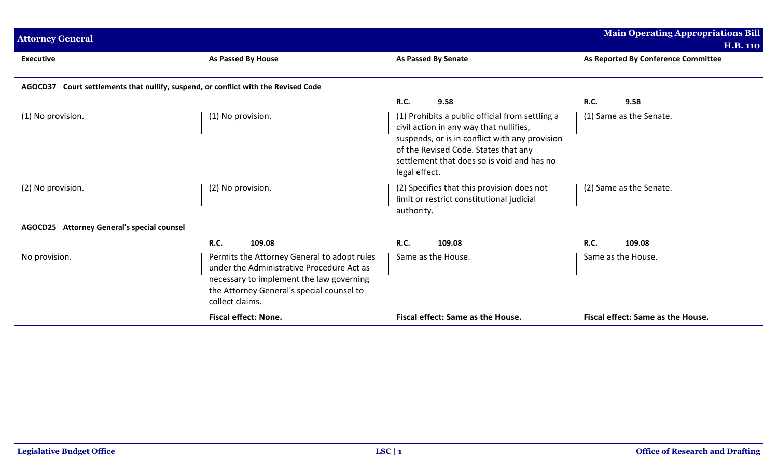| <b>Attorney General</b>                                                            |                                                                                                                                                                                                      |                                                                                                                                                                                                                                                     | <b>Main Operating Appropriations Bill</b>              |
|------------------------------------------------------------------------------------|------------------------------------------------------------------------------------------------------------------------------------------------------------------------------------------------------|-----------------------------------------------------------------------------------------------------------------------------------------------------------------------------------------------------------------------------------------------------|--------------------------------------------------------|
| <b>Executive</b>                                                                   | <b>As Passed By House</b>                                                                                                                                                                            | <b>As Passed By Senate</b>                                                                                                                                                                                                                          | <b>H.B. 110</b><br>As Reported By Conference Committee |
| AGOCD37 Court settlements that nullify, suspend, or conflict with the Revised Code |                                                                                                                                                                                                      |                                                                                                                                                                                                                                                     |                                                        |
|                                                                                    |                                                                                                                                                                                                      | R.C.<br>9.58                                                                                                                                                                                                                                        | <b>R.C.</b><br>9.58                                    |
| (1) No provision.                                                                  | (1) No provision.                                                                                                                                                                                    | (1) Prohibits a public official from settling a<br>civil action in any way that nullifies,<br>suspends, or is in conflict with any provision<br>of the Revised Code. States that any<br>settlement that does so is void and has no<br>legal effect. | (1) Same as the Senate.                                |
| (2) No provision.                                                                  | (2) No provision.                                                                                                                                                                                    | (2) Specifies that this provision does not<br>limit or restrict constitutional judicial<br>authority.                                                                                                                                               | (2) Same as the Senate.                                |
| AGOCD25 Attorney General's special counsel                                         |                                                                                                                                                                                                      |                                                                                                                                                                                                                                                     |                                                        |
|                                                                                    | R.C.<br>109.08                                                                                                                                                                                       | <b>R.C.</b><br>109.08                                                                                                                                                                                                                               | R.C.<br>109.08                                         |
| No provision.                                                                      | Permits the Attorney General to adopt rules<br>under the Administrative Procedure Act as<br>necessary to implement the law governing<br>the Attorney General's special counsel to<br>collect claims. | Same as the House.                                                                                                                                                                                                                                  | Same as the House.                                     |
|                                                                                    | <b>Fiscal effect: None.</b>                                                                                                                                                                          | Fiscal effect: Same as the House.                                                                                                                                                                                                                   | Fiscal effect: Same as the House.                      |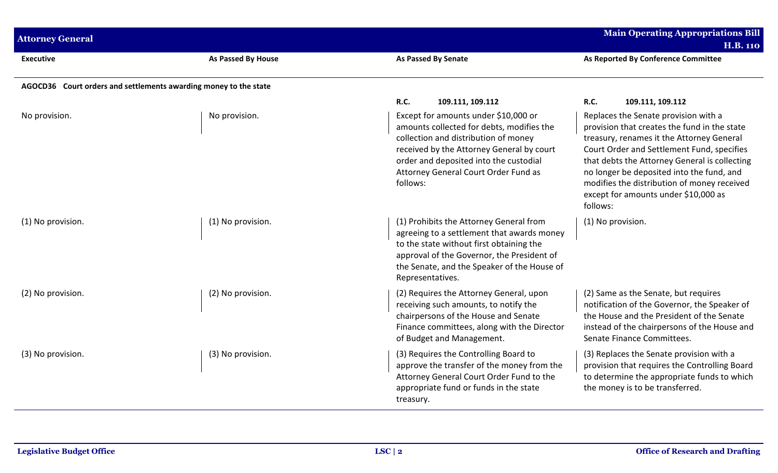| <b>Attorney General</b>                                          |                    |                                                                                                                                                                                                                                                                      | <b>Main Operating Appropriations Bill</b><br><b>H.B. 110</b>                                                                                                                                                                                                                                                                                                                     |
|------------------------------------------------------------------|--------------------|----------------------------------------------------------------------------------------------------------------------------------------------------------------------------------------------------------------------------------------------------------------------|----------------------------------------------------------------------------------------------------------------------------------------------------------------------------------------------------------------------------------------------------------------------------------------------------------------------------------------------------------------------------------|
| <b>Executive</b>                                                 | As Passed By House | <b>As Passed By Senate</b>                                                                                                                                                                                                                                           | As Reported By Conference Committee                                                                                                                                                                                                                                                                                                                                              |
| AGOCD36 Court orders and settlements awarding money to the state |                    |                                                                                                                                                                                                                                                                      |                                                                                                                                                                                                                                                                                                                                                                                  |
|                                                                  |                    | <b>R.C.</b><br>109.111, 109.112                                                                                                                                                                                                                                      | R.C.<br>109.111, 109.112                                                                                                                                                                                                                                                                                                                                                         |
| No provision.                                                    | No provision.      | Except for amounts under \$10,000 or<br>amounts collected for debts, modifies the<br>collection and distribution of money<br>received by the Attorney General by court<br>order and deposited into the custodial<br>Attorney General Court Order Fund as<br>follows: | Replaces the Senate provision with a<br>provision that creates the fund in the state<br>treasury, renames it the Attorney General<br>Court Order and Settlement Fund, specifies<br>that debts the Attorney General is collecting<br>no longer be deposited into the fund, and<br>modifies the distribution of money received<br>except for amounts under \$10,000 as<br>follows: |
| (1) No provision.                                                | (1) No provision.  | (1) Prohibits the Attorney General from<br>agreeing to a settlement that awards money<br>to the state without first obtaining the<br>approval of the Governor, the President of<br>the Senate, and the Speaker of the House of<br>Representatives.                   | (1) No provision.                                                                                                                                                                                                                                                                                                                                                                |
| (2) No provision.                                                | (2) No provision.  | (2) Requires the Attorney General, upon<br>receiving such amounts, to notify the<br>chairpersons of the House and Senate<br>Finance committees, along with the Director<br>of Budget and Management.                                                                 | (2) Same as the Senate, but requires<br>notification of the Governor, the Speaker of<br>the House and the President of the Senate<br>instead of the chairpersons of the House and<br>Senate Finance Committees.                                                                                                                                                                  |
| (3) No provision.                                                | (3) No provision.  | (3) Requires the Controlling Board to<br>approve the transfer of the money from the<br>Attorney General Court Order Fund to the<br>appropriate fund or funds in the state<br>treasury.                                                                               | (3) Replaces the Senate provision with a<br>provision that requires the Controlling Board<br>to determine the appropriate funds to which<br>the money is to be transferred.                                                                                                                                                                                                      |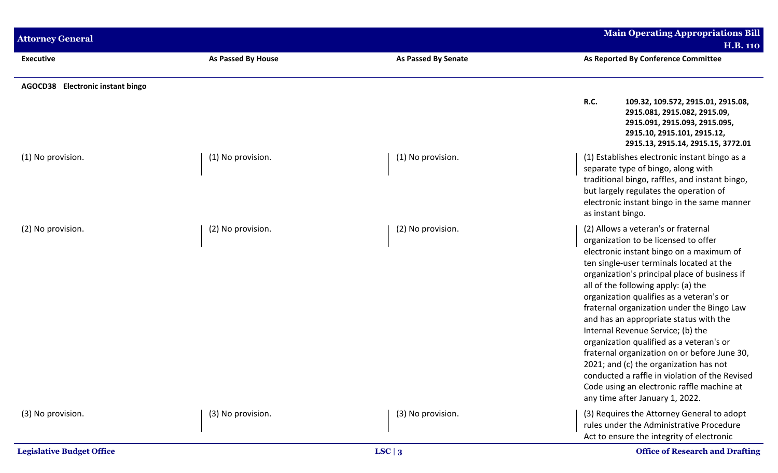| <b>Attorney General</b>          |                           |                            | <b>Main Operating Appropriations Bill</b><br><b>H.B. 110</b>                                                                                                                                                                                                                                                                                                                                                                                                                                                                                                                                                                                                                                                  |
|----------------------------------|---------------------------|----------------------------|---------------------------------------------------------------------------------------------------------------------------------------------------------------------------------------------------------------------------------------------------------------------------------------------------------------------------------------------------------------------------------------------------------------------------------------------------------------------------------------------------------------------------------------------------------------------------------------------------------------------------------------------------------------------------------------------------------------|
| <b>Executive</b>                 | <b>As Passed By House</b> | <b>As Passed By Senate</b> | As Reported By Conference Committee                                                                                                                                                                                                                                                                                                                                                                                                                                                                                                                                                                                                                                                                           |
| AGOCD38 Electronic instant bingo |                           |                            | <b>R.C.</b><br>109.32, 109.572, 2915.01, 2915.08,<br>2915.081, 2915.082, 2915.09,<br>2915.091, 2915.093, 2915.095,<br>2915.10, 2915.101, 2915.12,<br>2915.13, 2915.14, 2915.15, 3772.01                                                                                                                                                                                                                                                                                                                                                                                                                                                                                                                       |
| (1) No provision.                | (1) No provision.         | (1) No provision.          | (1) Establishes electronic instant bingo as a<br>separate type of bingo, along with<br>traditional bingo, raffles, and instant bingo,<br>but largely regulates the operation of<br>electronic instant bingo in the same manner<br>as instant bingo.                                                                                                                                                                                                                                                                                                                                                                                                                                                           |
| (2) No provision.                | (2) No provision.         | (2) No provision.          | (2) Allows a veteran's or fraternal<br>organization to be licensed to offer<br>electronic instant bingo on a maximum of<br>ten single-user terminals located at the<br>organization's principal place of business if<br>all of the following apply: (a) the<br>organization qualifies as a veteran's or<br>fraternal organization under the Bingo Law<br>and has an appropriate status with the<br>Internal Revenue Service; (b) the<br>organization qualified as a veteran's or<br>fraternal organization on or before June 30,<br>2021; and (c) the organization has not<br>conducted a raffle in violation of the Revised<br>Code using an electronic raffle machine at<br>any time after January 1, 2022. |
| (3) No provision.                | (3) No provision.         | (3) No provision.          | (3) Requires the Attorney General to adopt<br>rules under the Administrative Procedure<br>Act to ensure the integrity of electronic                                                                                                                                                                                                                                                                                                                                                                                                                                                                                                                                                                           |
| <b>Legislative Budget Office</b> |                           | LSC $\vert 3$              | <b>Office of Research and Drafting</b>                                                                                                                                                                                                                                                                                                                                                                                                                                                                                                                                                                                                                                                                        |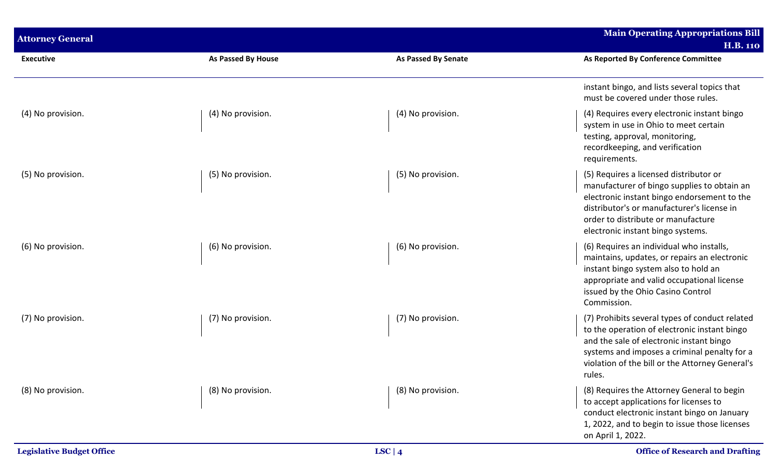| <b>Attorney General</b> |                    |                     | <b>Main Operating Appropriations Bill</b><br><b>H.B. 110</b>                                                                                                                                                                                                  |
|-------------------------|--------------------|---------------------|---------------------------------------------------------------------------------------------------------------------------------------------------------------------------------------------------------------------------------------------------------------|
| <b>Executive</b>        | As Passed By House | As Passed By Senate | As Reported By Conference Committee                                                                                                                                                                                                                           |
|                         |                    |                     | instant bingo, and lists several topics that<br>must be covered under those rules.                                                                                                                                                                            |
| (4) No provision.       | (4) No provision.  | (4) No provision.   | (4) Requires every electronic instant bingo<br>system in use in Ohio to meet certain<br>testing, approval, monitoring,<br>recordkeeping, and verification<br>requirements.                                                                                    |
| (5) No provision.       | (5) No provision.  | (5) No provision.   | (5) Requires a licensed distributor or<br>manufacturer of bingo supplies to obtain an<br>electronic instant bingo endorsement to the<br>distributor's or manufacturer's license in<br>order to distribute or manufacture<br>electronic instant bingo systems. |
| (6) No provision.       | (6) No provision.  | (6) No provision.   | (6) Requires an individual who installs,<br>maintains, updates, or repairs an electronic<br>instant bingo system also to hold an<br>appropriate and valid occupational license<br>issued by the Ohio Casino Control<br>Commission.                            |
| (7) No provision.       | (7) No provision.  | (7) No provision.   | (7) Prohibits several types of conduct related<br>to the operation of electronic instant bingo<br>and the sale of electronic instant bingo<br>systems and imposes a criminal penalty for a<br>violation of the bill or the Attorney General's<br>rules.       |
| (8) No provision.       | (8) No provision.  | (8) No provision.   | (8) Requires the Attorney General to begin<br>to accept applications for licenses to<br>conduct electronic instant bingo on January<br>1, 2022, and to begin to issue those licenses<br>on April 1, 2022.                                                     |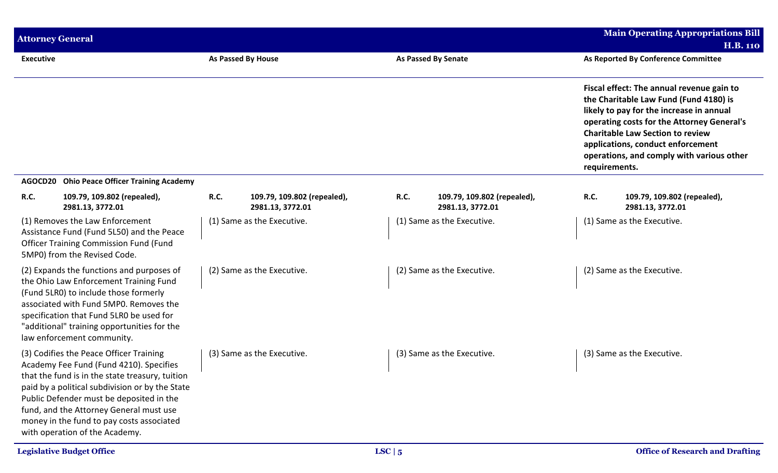|                  | <b>Attorney General</b>                                                                                                                                                                                                                                                                                                                                        |             |                                                 |      |                                                 |               | <b>Main Operating Appropriations Bill</b>                                                                                                                                                                                                                                                                  |
|------------------|----------------------------------------------------------------------------------------------------------------------------------------------------------------------------------------------------------------------------------------------------------------------------------------------------------------------------------------------------------------|-------------|-------------------------------------------------|------|-------------------------------------------------|---------------|------------------------------------------------------------------------------------------------------------------------------------------------------------------------------------------------------------------------------------------------------------------------------------------------------------|
| <b>Executive</b> |                                                                                                                                                                                                                                                                                                                                                                |             | <b>As Passed By House</b>                       |      | As Passed By Senate                             |               | <b>H.B. 110</b><br>As Reported By Conference Committee                                                                                                                                                                                                                                                     |
|                  |                                                                                                                                                                                                                                                                                                                                                                |             |                                                 |      |                                                 | requirements. | Fiscal effect: The annual revenue gain to<br>the Charitable Law Fund (Fund 4180) is<br>likely to pay for the increase in annual<br>operating costs for the Attorney General's<br><b>Charitable Law Section to review</b><br>applications, conduct enforcement<br>operations, and comply with various other |
|                  | AGOCD20 Ohio Peace Officer Training Academy                                                                                                                                                                                                                                                                                                                    |             |                                                 |      |                                                 |               |                                                                                                                                                                                                                                                                                                            |
| <b>R.C.</b>      | 109.79, 109.802 (repealed),<br>2981.13, 3772.01                                                                                                                                                                                                                                                                                                                | <b>R.C.</b> | 109.79, 109.802 (repealed),<br>2981.13, 3772.01 | R.C. | 109.79, 109.802 (repealed),<br>2981.13, 3772.01 | R.C.          | 109.79, 109.802 (repealed),<br>2981.13, 3772.01                                                                                                                                                                                                                                                            |
|                  | (1) Removes the Law Enforcement<br>Assistance Fund (Fund 5L50) and the Peace<br><b>Officer Training Commission Fund (Fund</b><br>5MP0) from the Revised Code.                                                                                                                                                                                                  |             | (1) Same as the Executive.                      |      | (1) Same as the Executive.                      |               | (1) Same as the Executive.                                                                                                                                                                                                                                                                                 |
|                  | (2) Expands the functions and purposes of<br>the Ohio Law Enforcement Training Fund<br>(Fund 5LR0) to include those formerly<br>associated with Fund 5MP0. Removes the<br>specification that Fund 5LR0 be used for<br>"additional" training opportunities for the<br>law enforcement community.                                                                |             | (2) Same as the Executive.                      |      | (2) Same as the Executive.                      |               | (2) Same as the Executive.                                                                                                                                                                                                                                                                                 |
|                  | (3) Codifies the Peace Officer Training<br>Academy Fee Fund (Fund 4210). Specifies<br>that the fund is in the state treasury, tuition<br>paid by a political subdivision or by the State<br>Public Defender must be deposited in the<br>fund, and the Attorney General must use<br>money in the fund to pay costs associated<br>with operation of the Academy. |             | (3) Same as the Executive.                      |      | (3) Same as the Executive.                      |               | (3) Same as the Executive.                                                                                                                                                                                                                                                                                 |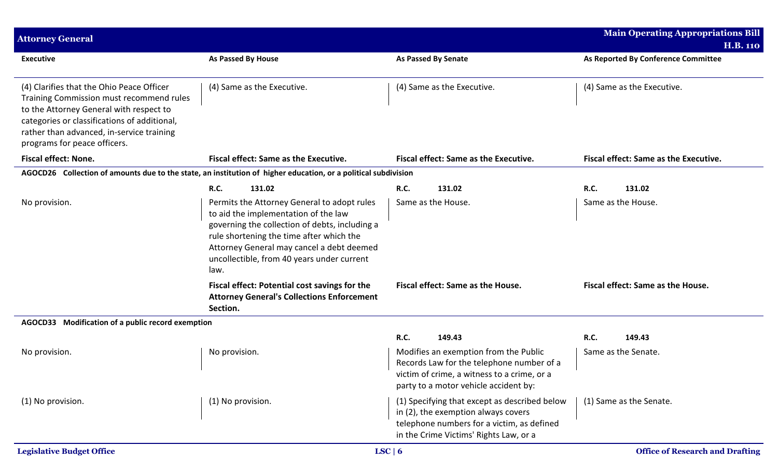| <b>Attorney General</b>                                                                                                                                                                                                                                       |                                                                                                                                                                                                                                                                                      |                                                                                                                                                                              | <b>Main Operating Appropriations Bill</b> |  |
|---------------------------------------------------------------------------------------------------------------------------------------------------------------------------------------------------------------------------------------------------------------|--------------------------------------------------------------------------------------------------------------------------------------------------------------------------------------------------------------------------------------------------------------------------------------|------------------------------------------------------------------------------------------------------------------------------------------------------------------------------|-------------------------------------------|--|
|                                                                                                                                                                                                                                                               |                                                                                                                                                                                                                                                                                      |                                                                                                                                                                              | <b>H.B. 110</b>                           |  |
| <b>Executive</b>                                                                                                                                                                                                                                              | As Passed By House                                                                                                                                                                                                                                                                   | <b>As Passed By Senate</b>                                                                                                                                                   | As Reported By Conference Committee       |  |
| (4) Clarifies that the Ohio Peace Officer<br>Training Commission must recommend rules<br>to the Attorney General with respect to<br>categories or classifications of additional,<br>rather than advanced, in-service training<br>programs for peace officers. | (4) Same as the Executive.                                                                                                                                                                                                                                                           | (4) Same as the Executive.                                                                                                                                                   | (4) Same as the Executive.                |  |
| <b>Fiscal effect: None.</b>                                                                                                                                                                                                                                   | <b>Fiscal effect: Same as the Executive.</b>                                                                                                                                                                                                                                         | Fiscal effect: Same as the Executive.                                                                                                                                        | Fiscal effect: Same as the Executive.     |  |
|                                                                                                                                                                                                                                                               | AGOCD26 Collection of amounts due to the state, an institution of higher education, or a political subdivision                                                                                                                                                                       |                                                                                                                                                                              |                                           |  |
|                                                                                                                                                                                                                                                               | 131.02<br><b>R.C.</b>                                                                                                                                                                                                                                                                | <b>R.C.</b><br>131.02                                                                                                                                                        | <b>R.C.</b><br>131.02                     |  |
| No provision.                                                                                                                                                                                                                                                 | Permits the Attorney General to adopt rules<br>to aid the implementation of the law<br>governing the collection of debts, including a<br>rule shortening the time after which the<br>Attorney General may cancel a debt deemed<br>uncollectible, from 40 years under current<br>law. | Same as the House.                                                                                                                                                           | Same as the House.                        |  |
|                                                                                                                                                                                                                                                               | Fiscal effect: Potential cost savings for the<br><b>Attorney General's Collections Enforcement</b><br>Section.                                                                                                                                                                       | Fiscal effect: Same as the House.                                                                                                                                            | Fiscal effect: Same as the House.         |  |
| AGOCD33 Modification of a public record exemption                                                                                                                                                                                                             |                                                                                                                                                                                                                                                                                      |                                                                                                                                                                              |                                           |  |
|                                                                                                                                                                                                                                                               |                                                                                                                                                                                                                                                                                      | R.C.<br>149.43                                                                                                                                                               | <b>R.C.</b><br>149.43                     |  |
| No provision.                                                                                                                                                                                                                                                 | No provision.                                                                                                                                                                                                                                                                        | Modifies an exemption from the Public<br>Records Law for the telephone number of a<br>victim of crime, a witness to a crime, or a<br>party to a motor vehicle accident by:   | Same as the Senate.                       |  |
| (1) No provision.                                                                                                                                                                                                                                             | (1) No provision.                                                                                                                                                                                                                                                                    | (1) Specifying that except as described below<br>in (2), the exemption always covers<br>telephone numbers for a victim, as defined<br>in the Crime Victims' Rights Law, or a | (1) Same as the Senate.                   |  |
| <b>Legislative Budget Office</b>                                                                                                                                                                                                                              |                                                                                                                                                                                                                                                                                      | LSC   6                                                                                                                                                                      | <b>Office of Research and Drafting</b>    |  |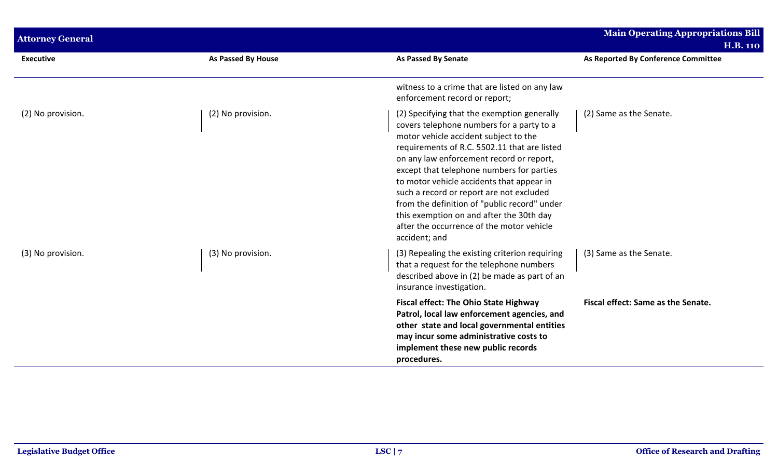| <b>Attorney General</b> |                    |                                                                                                                                                                                                                                                                                                                                                                                                                                                                                                                               | <b>Main Operating Appropriations Bill</b><br><b>H.B. 110</b> |
|-------------------------|--------------------|-------------------------------------------------------------------------------------------------------------------------------------------------------------------------------------------------------------------------------------------------------------------------------------------------------------------------------------------------------------------------------------------------------------------------------------------------------------------------------------------------------------------------------|--------------------------------------------------------------|
| <b>Executive</b>        | As Passed By House | As Passed By Senate                                                                                                                                                                                                                                                                                                                                                                                                                                                                                                           | As Reported By Conference Committee                          |
|                         |                    | witness to a crime that are listed on any law<br>enforcement record or report;                                                                                                                                                                                                                                                                                                                                                                                                                                                |                                                              |
| (2) No provision.       | (2) No provision.  | (2) Specifying that the exemption generally<br>covers telephone numbers for a party to a<br>motor vehicle accident subject to the<br>requirements of R.C. 5502.11 that are listed<br>on any law enforcement record or report,<br>except that telephone numbers for parties<br>to motor vehicle accidents that appear in<br>such a record or report are not excluded<br>from the definition of "public record" under<br>this exemption on and after the 30th day<br>after the occurrence of the motor vehicle<br>accident; and | (2) Same as the Senate.                                      |
| (3) No provision.       | (3) No provision.  | (3) Repealing the existing criterion requiring<br>that a request for the telephone numbers<br>described above in (2) be made as part of an<br>insurance investigation.                                                                                                                                                                                                                                                                                                                                                        | (3) Same as the Senate.                                      |
|                         |                    | <b>Fiscal effect: The Ohio State Highway</b><br>Patrol, local law enforcement agencies, and<br>other state and local governmental entities<br>may incur some administrative costs to<br>implement these new public records<br>procedures.                                                                                                                                                                                                                                                                                     | Fiscal effect: Same as the Senate.                           |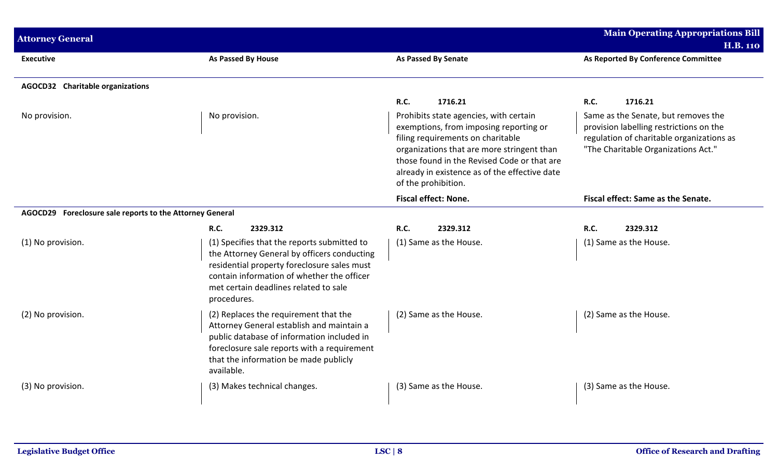| <b>Attorney General</b>                                  |                                                                                                                                                                                                                                                                            |                                                                                                                                                                                                                                                                                                               | <b>Main Operating Appropriations Bill</b><br><b>H.B. 110</b>                                                                                                                                 |
|----------------------------------------------------------|----------------------------------------------------------------------------------------------------------------------------------------------------------------------------------------------------------------------------------------------------------------------------|---------------------------------------------------------------------------------------------------------------------------------------------------------------------------------------------------------------------------------------------------------------------------------------------------------------|----------------------------------------------------------------------------------------------------------------------------------------------------------------------------------------------|
| <b>Executive</b>                                         | As Passed By House                                                                                                                                                                                                                                                         | <b>As Passed By Senate</b>                                                                                                                                                                                                                                                                                    | As Reported By Conference Committee                                                                                                                                                          |
| <b>AGOCD32</b> Charitable organizations                  |                                                                                                                                                                                                                                                                            |                                                                                                                                                                                                                                                                                                               |                                                                                                                                                                                              |
| No provision.                                            | No provision.                                                                                                                                                                                                                                                              | R.C.<br>1716.21<br>Prohibits state agencies, with certain<br>exemptions, from imposing reporting or<br>filing requirements on charitable<br>organizations that are more stringent than<br>those found in the Revised Code or that are<br>already in existence as of the effective date<br>of the prohibition. | <b>R.C.</b><br>1716.21<br>Same as the Senate, but removes the<br>provision labelling restrictions on the<br>regulation of charitable organizations as<br>"The Charitable Organizations Act." |
|                                                          |                                                                                                                                                                                                                                                                            | <b>Fiscal effect: None.</b>                                                                                                                                                                                                                                                                                   | Fiscal effect: Same as the Senate.                                                                                                                                                           |
| AGOCD29 Foreclosure sale reports to the Attorney General |                                                                                                                                                                                                                                                                            |                                                                                                                                                                                                                                                                                                               |                                                                                                                                                                                              |
| (1) No provision.                                        | <b>R.C.</b><br>2329.312<br>(1) Specifies that the reports submitted to<br>the Attorney General by officers conducting<br>residential property foreclosure sales must<br>contain information of whether the officer<br>met certain deadlines related to sale<br>procedures. | <b>R.C.</b><br>2329.312<br>(1) Same as the House.                                                                                                                                                                                                                                                             | <b>R.C.</b><br>2329.312<br>(1) Same as the House.                                                                                                                                            |
| (2) No provision.                                        | (2) Replaces the requirement that the<br>Attorney General establish and maintain a<br>public database of information included in<br>foreclosure sale reports with a requirement<br>that the information be made publicly<br>available.                                     | (2) Same as the House.                                                                                                                                                                                                                                                                                        | (2) Same as the House.                                                                                                                                                                       |
| (3) No provision.                                        | (3) Makes technical changes.                                                                                                                                                                                                                                               | (3) Same as the House.                                                                                                                                                                                                                                                                                        | (3) Same as the House.                                                                                                                                                                       |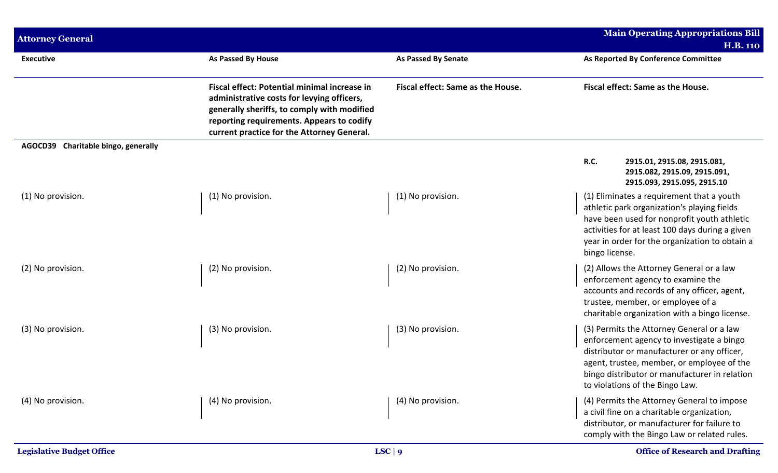| <b>Attorney General</b>             |                                                                                                                                                                                                                                      |                                   | <b>Main Operating Appropriations Bill</b>                                                                                                                                                                                                                               |
|-------------------------------------|--------------------------------------------------------------------------------------------------------------------------------------------------------------------------------------------------------------------------------------|-----------------------------------|-------------------------------------------------------------------------------------------------------------------------------------------------------------------------------------------------------------------------------------------------------------------------|
|                                     |                                                                                                                                                                                                                                      |                                   | <b>H.B. 110</b>                                                                                                                                                                                                                                                         |
| <b>Executive</b>                    | <b>As Passed By House</b>                                                                                                                                                                                                            | <b>As Passed By Senate</b>        | As Reported By Conference Committee                                                                                                                                                                                                                                     |
|                                     | Fiscal effect: Potential minimal increase in<br>administrative costs for levying officers,<br>generally sheriffs, to comply with modified<br>reporting requirements. Appears to codify<br>current practice for the Attorney General. | Fiscal effect: Same as the House. | Fiscal effect: Same as the House.                                                                                                                                                                                                                                       |
| AGOCD39 Charitable bingo, generally |                                                                                                                                                                                                                                      |                                   |                                                                                                                                                                                                                                                                         |
|                                     |                                                                                                                                                                                                                                      |                                   | <b>R.C.</b><br>2915.01, 2915.08, 2915.081,<br>2915.082, 2915.09, 2915.091,<br>2915.093, 2915.095, 2915.10                                                                                                                                                               |
| (1) No provision.                   | (1) No provision.                                                                                                                                                                                                                    | (1) No provision.                 | (1) Eliminates a requirement that a youth<br>athletic park organization's playing fields<br>have been used for nonprofit youth athletic<br>activities for at least 100 days during a given<br>year in order for the organization to obtain a<br>bingo license.          |
| (2) No provision.                   | (2) No provision.                                                                                                                                                                                                                    | (2) No provision.                 | (2) Allows the Attorney General or a law<br>enforcement agency to examine the<br>accounts and records of any officer, agent,<br>trustee, member, or employee of a<br>charitable organization with a bingo license.                                                      |
| (3) No provision.                   | (3) No provision.                                                                                                                                                                                                                    | (3) No provision.                 | (3) Permits the Attorney General or a law<br>enforcement agency to investigate a bingo<br>distributor or manufacturer or any officer,<br>agent, trustee, member, or employee of the<br>bingo distributor or manufacturer in relation<br>to violations of the Bingo Law. |
| (4) No provision.                   | (4) No provision.                                                                                                                                                                                                                    | (4) No provision.                 | (4) Permits the Attorney General to impose<br>a civil fine on a charitable organization,<br>distributor, or manufacturer for failure to<br>comply with the Bingo Law or related rules.                                                                                  |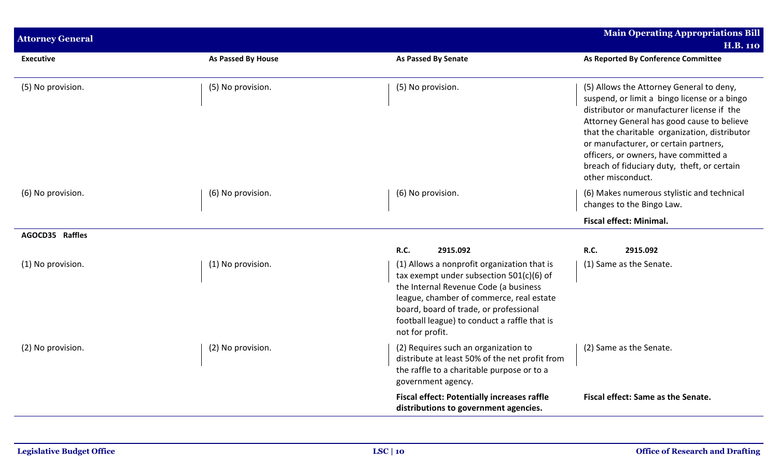| <b>Attorney General</b> |                    |                                                                                                                                                                                                                                                                                           | <b>Main Operating Appropriations Bill</b>                                                                                                                                                                                                                                                                                                                                                   |
|-------------------------|--------------------|-------------------------------------------------------------------------------------------------------------------------------------------------------------------------------------------------------------------------------------------------------------------------------------------|---------------------------------------------------------------------------------------------------------------------------------------------------------------------------------------------------------------------------------------------------------------------------------------------------------------------------------------------------------------------------------------------|
|                         |                    |                                                                                                                                                                                                                                                                                           | <b>H.B. 110</b>                                                                                                                                                                                                                                                                                                                                                                             |
| <b>Executive</b>        | As Passed By House | <b>As Passed By Senate</b>                                                                                                                                                                                                                                                                | As Reported By Conference Committee                                                                                                                                                                                                                                                                                                                                                         |
| (5) No provision.       | (5) No provision.  | (5) No provision.                                                                                                                                                                                                                                                                         | (5) Allows the Attorney General to deny,<br>suspend, or limit a bingo license or a bingo<br>distributor or manufacturer license if the<br>Attorney General has good cause to believe<br>that the charitable organization, distributor<br>or manufacturer, or certain partners,<br>officers, or owners, have committed a<br>breach of fiduciary duty, theft, or certain<br>other misconduct. |
| (6) No provision.       | (6) No provision.  | (6) No provision.                                                                                                                                                                                                                                                                         | (6) Makes numerous stylistic and technical<br>changes to the Bingo Law.                                                                                                                                                                                                                                                                                                                     |
|                         |                    |                                                                                                                                                                                                                                                                                           | <b>Fiscal effect: Minimal.</b>                                                                                                                                                                                                                                                                                                                                                              |
| AGOCD35 Raffles         |                    |                                                                                                                                                                                                                                                                                           |                                                                                                                                                                                                                                                                                                                                                                                             |
|                         |                    | R.C.<br>2915.092                                                                                                                                                                                                                                                                          | R.C.<br>2915.092                                                                                                                                                                                                                                                                                                                                                                            |
| (1) No provision.       | (1) No provision.  | (1) Allows a nonprofit organization that is<br>tax exempt under subsection 501(c)(6) of<br>the Internal Revenue Code (a business<br>league, chamber of commerce, real estate<br>board, board of trade, or professional<br>football league) to conduct a raffle that is<br>not for profit. | (1) Same as the Senate.                                                                                                                                                                                                                                                                                                                                                                     |
| (2) No provision.       | (2) No provision.  | (2) Requires such an organization to<br>distribute at least 50% of the net profit from<br>the raffle to a charitable purpose or to a<br>government agency.                                                                                                                                | (2) Same as the Senate.                                                                                                                                                                                                                                                                                                                                                                     |
|                         |                    | <b>Fiscal effect: Potentially increases raffle</b><br>distributions to government agencies.                                                                                                                                                                                               | Fiscal effect: Same as the Senate.                                                                                                                                                                                                                                                                                                                                                          |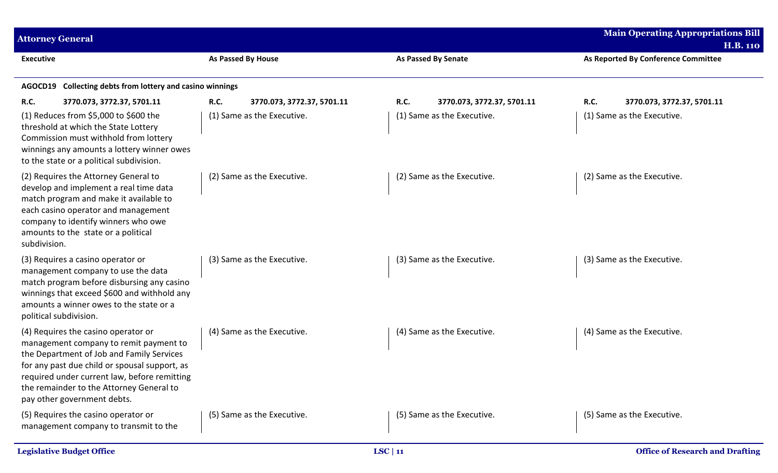| <b>Attorney General</b>                                                                                                                                                                                                                                                                                |                                           |                            |                            | <b>Main Operating Appropriations Bill</b><br><b>H.B. 110</b> |
|--------------------------------------------------------------------------------------------------------------------------------------------------------------------------------------------------------------------------------------------------------------------------------------------------------|-------------------------------------------|----------------------------|----------------------------|--------------------------------------------------------------|
| <b>Executive</b>                                                                                                                                                                                                                                                                                       | <b>As Passed By House</b>                 | <b>As Passed By Senate</b> |                            | As Reported By Conference Committee                          |
| Collecting debts from lottery and casino winnings<br>AGOCD19                                                                                                                                                                                                                                           |                                           |                            |                            |                                                              |
| <b>R.C.</b><br>3770.073, 3772.37, 5701.11                                                                                                                                                                                                                                                              | <b>R.C.</b><br>3770.073, 3772.37, 5701.11 | R.C.                       | 3770.073, 3772.37, 5701.11 | R.C.<br>3770.073, 3772.37, 5701.11                           |
| (1) Reduces from \$5,000 to \$600 the<br>threshold at which the State Lottery<br>Commission must withhold from lottery<br>winnings any amounts a lottery winner owes<br>to the state or a political subdivision.                                                                                       | (1) Same as the Executive.                |                            | (1) Same as the Executive. | (1) Same as the Executive.                                   |
| (2) Requires the Attorney General to<br>develop and implement a real time data<br>match program and make it available to<br>each casino operator and management<br>company to identify winners who owe<br>amounts to the state or a political<br>subdivision.                                          | (2) Same as the Executive.                |                            | (2) Same as the Executive. | (2) Same as the Executive.                                   |
| (3) Requires a casino operator or<br>management company to use the data<br>match program before disbursing any casino<br>winnings that exceed \$600 and withhold any<br>amounts a winner owes to the state or a<br>political subdivision.                                                              | (3) Same as the Executive.                |                            | (3) Same as the Executive. | (3) Same as the Executive.                                   |
| (4) Requires the casino operator or<br>management company to remit payment to<br>the Department of Job and Family Services<br>for any past due child or spousal support, as<br>required under current law, before remitting<br>the remainder to the Attorney General to<br>pay other government debts. | (4) Same as the Executive.                |                            | (4) Same as the Executive. | (4) Same as the Executive.                                   |
| (5) Requires the casino operator or<br>management company to transmit to the                                                                                                                                                                                                                           | (5) Same as the Executive.                |                            | (5) Same as the Executive. | (5) Same as the Executive.                                   |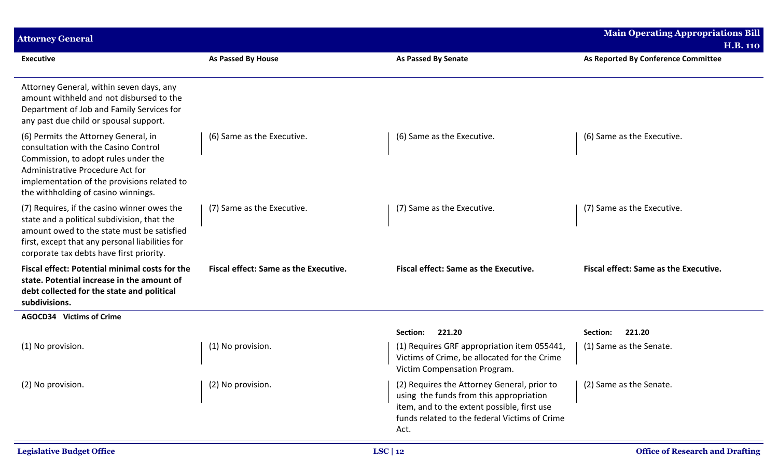| <b>Attorney General</b>                                                                                                                                                                                                                        |                                              |                                                                                                                                                                                                | <b>Main Operating Appropriations Bill</b>              |
|------------------------------------------------------------------------------------------------------------------------------------------------------------------------------------------------------------------------------------------------|----------------------------------------------|------------------------------------------------------------------------------------------------------------------------------------------------------------------------------------------------|--------------------------------------------------------|
| <b>Executive</b>                                                                                                                                                                                                                               | As Passed By House                           | <b>As Passed By Senate</b>                                                                                                                                                                     | <b>H.B. 110</b><br>As Reported By Conference Committee |
| Attorney General, within seven days, any<br>amount withheld and not disbursed to the<br>Department of Job and Family Services for<br>any past due child or spousal support.                                                                    |                                              |                                                                                                                                                                                                |                                                        |
| (6) Permits the Attorney General, in<br>consultation with the Casino Control<br>Commission, to adopt rules under the<br>Administrative Procedure Act for<br>implementation of the provisions related to<br>the withholding of casino winnings. | (6) Same as the Executive.                   | (6) Same as the Executive.                                                                                                                                                                     | (6) Same as the Executive.                             |
| (7) Requires, if the casino winner owes the<br>state and a political subdivision, that the<br>amount owed to the state must be satisfied<br>first, except that any personal liabilities for<br>corporate tax debts have first priority.        | (7) Same as the Executive.                   | (7) Same as the Executive.                                                                                                                                                                     | (7) Same as the Executive.                             |
| Fiscal effect: Potential minimal costs for the<br>state. Potential increase in the amount of<br>debt collected for the state and political<br>subdivisions.                                                                                    | <b>Fiscal effect: Same as the Executive.</b> | Fiscal effect: Same as the Executive.                                                                                                                                                          | <b>Fiscal effect: Same as the Executive.</b>           |
| AGOCD34 Victims of Crime                                                                                                                                                                                                                       |                                              |                                                                                                                                                                                                |                                                        |
|                                                                                                                                                                                                                                                |                                              | 221.20<br>Section:                                                                                                                                                                             | 221.20<br>Section:                                     |
| (1) No provision.                                                                                                                                                                                                                              | (1) No provision.                            | (1) Requires GRF appropriation item 055441,<br>Victims of Crime, be allocated for the Crime<br>Victim Compensation Program.                                                                    | (1) Same as the Senate.                                |
| (2) No provision.                                                                                                                                                                                                                              | (2) No provision.                            | (2) Requires the Attorney General, prior to<br>using the funds from this appropriation<br>item, and to the extent possible, first use<br>funds related to the federal Victims of Crime<br>Act. | (2) Same as the Senate.                                |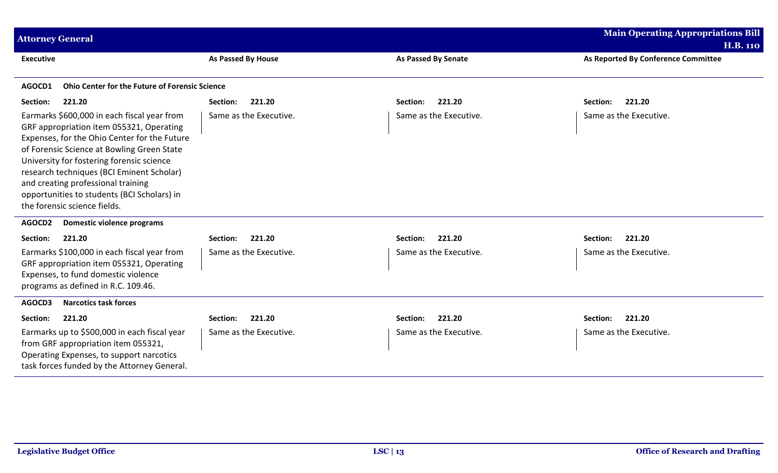| <b>Attorney General</b>                                                                                                                                                                                                                                                                                                                                                                              |                        |                            | <b>Main Operating Appropriations Bill</b><br><b>H.B. 110</b> |
|------------------------------------------------------------------------------------------------------------------------------------------------------------------------------------------------------------------------------------------------------------------------------------------------------------------------------------------------------------------------------------------------------|------------------------|----------------------------|--------------------------------------------------------------|
| <b>Executive</b>                                                                                                                                                                                                                                                                                                                                                                                     | As Passed By House     | <b>As Passed By Senate</b> | As Reported By Conference Committee                          |
| <b>Ohio Center for the Future of Forensic Science</b><br>AGOCD1                                                                                                                                                                                                                                                                                                                                      |                        |                            |                                                              |
| 221.20<br>Section:                                                                                                                                                                                                                                                                                                                                                                                   | 221.20<br>Section:     | 221.20<br>Section:         | 221.20<br>Section:                                           |
| Earmarks \$600,000 in each fiscal year from<br>GRF appropriation item 055321, Operating<br>Expenses, for the Ohio Center for the Future<br>of Forensic Science at Bowling Green State<br>University for fostering forensic science<br>research techniques (BCI Eminent Scholar)<br>and creating professional training<br>opportunities to students (BCI Scholars) in<br>the forensic science fields. | Same as the Executive. | Same as the Executive.     | Same as the Executive.                                       |
| AGOCD2<br><b>Domestic violence programs</b>                                                                                                                                                                                                                                                                                                                                                          |                        |                            |                                                              |
| Section:<br>221.20                                                                                                                                                                                                                                                                                                                                                                                   | 221.20<br>Section:     | 221.20<br>Section:         | Section:<br>221.20                                           |
| Earmarks \$100,000 in each fiscal year from<br>GRF appropriation item 055321, Operating<br>Expenses, to fund domestic violence<br>programs as defined in R.C. 109.46.                                                                                                                                                                                                                                | Same as the Executive. | Same as the Executive.     | Same as the Executive.                                       |
| <b>Narcotics task forces</b><br>AGOCD3                                                                                                                                                                                                                                                                                                                                                               |                        |                            |                                                              |
| Section:<br>221.20                                                                                                                                                                                                                                                                                                                                                                                   | 221.20<br>Section:     | 221.20<br>Section:         | 221.20<br>Section:                                           |
| Earmarks up to \$500,000 in each fiscal year<br>from GRF appropriation item 055321,<br>Operating Expenses, to support narcotics<br>task forces funded by the Attorney General.                                                                                                                                                                                                                       | Same as the Executive. | Same as the Executive.     | Same as the Executive.                                       |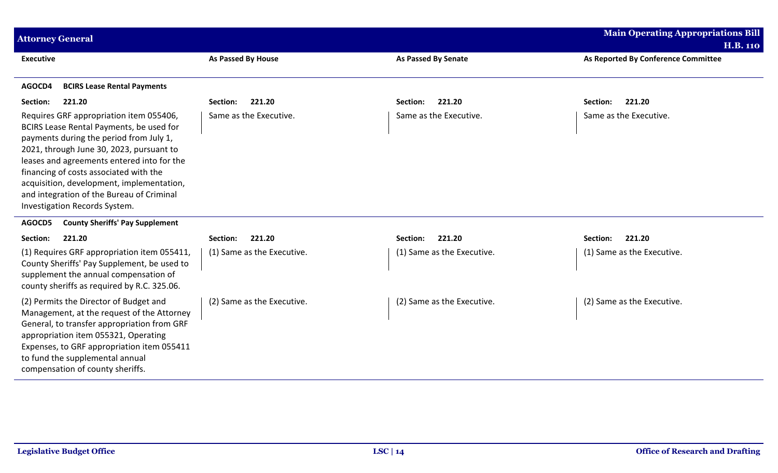| <b>Attorney General</b>                                                                                                                                                                                                                                                                                                                                                                       |                            |                            | <b>Main Operating Appropriations Bill</b><br><b>H.B. 110</b> |
|-----------------------------------------------------------------------------------------------------------------------------------------------------------------------------------------------------------------------------------------------------------------------------------------------------------------------------------------------------------------------------------------------|----------------------------|----------------------------|--------------------------------------------------------------|
| <b>Executive</b>                                                                                                                                                                                                                                                                                                                                                                              | As Passed By House         | <b>As Passed By Senate</b> | As Reported By Conference Committee                          |
| AGOCD4<br><b>BCIRS Lease Rental Payments</b>                                                                                                                                                                                                                                                                                                                                                  |                            |                            |                                                              |
| Section:<br>221.20                                                                                                                                                                                                                                                                                                                                                                            | 221.20<br>Section:         | 221.20<br>Section:         | 221.20<br>Section:                                           |
| Requires GRF appropriation item 055406,<br>BCIRS Lease Rental Payments, be used for<br>payments during the period from July 1,<br>2021, through June 30, 2023, pursuant to<br>leases and agreements entered into for the<br>financing of costs associated with the<br>acquisition, development, implementation,<br>and integration of the Bureau of Criminal<br>Investigation Records System. | Same as the Executive.     | Same as the Executive.     | Same as the Executive.                                       |
| AGOCD5<br><b>County Sheriffs' Pay Supplement</b>                                                                                                                                                                                                                                                                                                                                              |                            |                            |                                                              |
| Section:<br>221.20                                                                                                                                                                                                                                                                                                                                                                            | 221.20<br>Section:         | 221.20<br>Section:         | 221.20<br>Section:                                           |
| (1) Requires GRF appropriation item 055411,<br>County Sheriffs' Pay Supplement, be used to<br>supplement the annual compensation of<br>county sheriffs as required by R.C. 325.06.                                                                                                                                                                                                            | (1) Same as the Executive. | (1) Same as the Executive. | (1) Same as the Executive.                                   |
| (2) Permits the Director of Budget and<br>Management, at the request of the Attorney<br>General, to transfer appropriation from GRF<br>appropriation item 055321, Operating<br>Expenses, to GRF appropriation item 055411<br>to fund the supplemental annual<br>compensation of county sheriffs.                                                                                              | (2) Same as the Executive. | (2) Same as the Executive. | (2) Same as the Executive.                                   |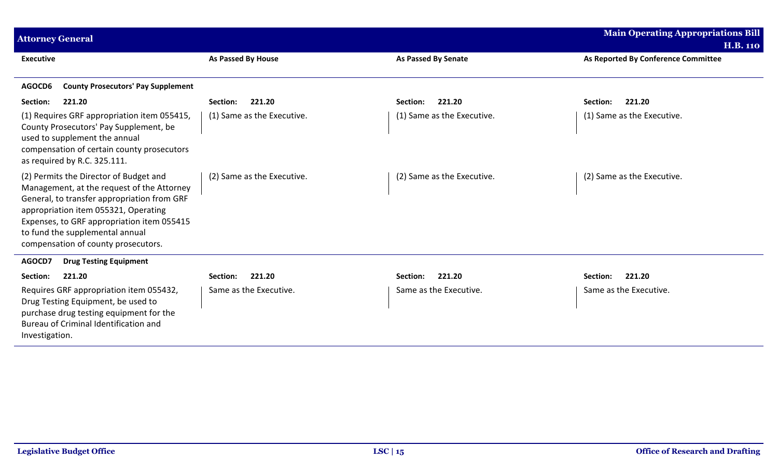| <b>Attorney General</b>                                                                                                                                                                                                                                                                             |                            |                            | <b>Main Operating Appropriations Bill</b> |
|-----------------------------------------------------------------------------------------------------------------------------------------------------------------------------------------------------------------------------------------------------------------------------------------------------|----------------------------|----------------------------|-------------------------------------------|
|                                                                                                                                                                                                                                                                                                     |                            |                            | <b>H.B. 110</b>                           |
| <b>Executive</b>                                                                                                                                                                                                                                                                                    | As Passed By House         | <b>As Passed By Senate</b> | As Reported By Conference Committee       |
| <b>County Prosecutors' Pay Supplement</b><br>AGOCD6                                                                                                                                                                                                                                                 |                            |                            |                                           |
| 221.20<br>Section:                                                                                                                                                                                                                                                                                  | 221.20<br>Section:         | 221.20<br>Section:         | 221.20<br>Section:                        |
| (1) Requires GRF appropriation item 055415,<br>County Prosecutors' Pay Supplement, be<br>used to supplement the annual<br>compensation of certain county prosecutors<br>as required by R.C. 325.111.                                                                                                | (1) Same as the Executive. | (1) Same as the Executive. | (1) Same as the Executive.                |
| (2) Permits the Director of Budget and<br>Management, at the request of the Attorney<br>General, to transfer appropriation from GRF<br>appropriation item 055321, Operating<br>Expenses, to GRF appropriation item 055415<br>to fund the supplemental annual<br>compensation of county prosecutors. | (2) Same as the Executive. | (2) Same as the Executive. | (2) Same as the Executive.                |
| AGOCD7<br><b>Drug Testing Equipment</b>                                                                                                                                                                                                                                                             |                            |                            |                                           |
| 221.20<br>Section:                                                                                                                                                                                                                                                                                  | 221.20<br>Section:         | 221.20<br>Section:         | 221.20<br>Section:                        |
| Requires GRF appropriation item 055432,<br>Drug Testing Equipment, be used to<br>purchase drug testing equipment for the<br>Bureau of Criminal Identification and<br>Investigation.                                                                                                                 | Same as the Executive.     | Same as the Executive.     | Same as the Executive.                    |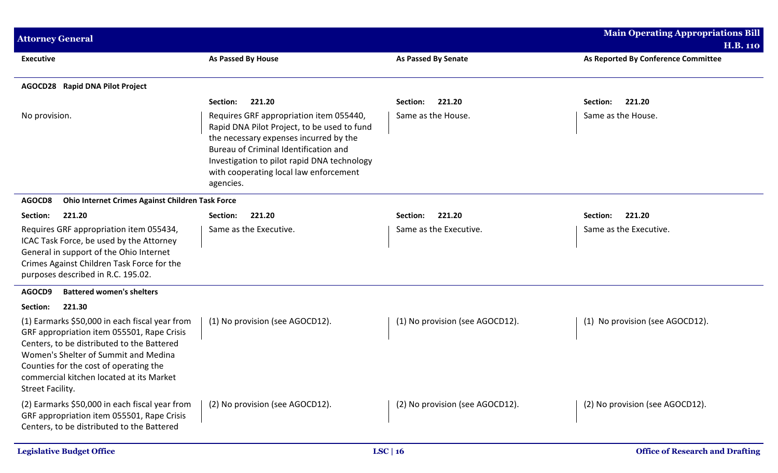| <b>Attorney General</b>                                                                                                                                                                                                                                                                                            |                                                                                                                                                                                                                                                                                                       |                                              | <b>Main Operating Appropriations Bill</b><br><b>H.B. 110</b> |
|--------------------------------------------------------------------------------------------------------------------------------------------------------------------------------------------------------------------------------------------------------------------------------------------------------------------|-------------------------------------------------------------------------------------------------------------------------------------------------------------------------------------------------------------------------------------------------------------------------------------------------------|----------------------------------------------|--------------------------------------------------------------|
| <b>Executive</b>                                                                                                                                                                                                                                                                                                   | <b>As Passed By House</b>                                                                                                                                                                                                                                                                             | <b>As Passed By Senate</b>                   | As Reported By Conference Committee                          |
| <b>AGOCD28</b> Rapid DNA Pilot Project                                                                                                                                                                                                                                                                             |                                                                                                                                                                                                                                                                                                       |                                              |                                                              |
| No provision.                                                                                                                                                                                                                                                                                                      | 221.20<br>Section:<br>Requires GRF appropriation item 055440,<br>Rapid DNA Pilot Project, to be used to fund<br>the necessary expenses incurred by the<br>Bureau of Criminal Identification and<br>Investigation to pilot rapid DNA technology<br>with cooperating local law enforcement<br>agencies. | 221.20<br>Section:<br>Same as the House.     | Section:<br>221.20<br>Same as the House.                     |
| AGOCD8<br>Ohio Internet Crimes Against Children Task Force                                                                                                                                                                                                                                                         |                                                                                                                                                                                                                                                                                                       |                                              |                                                              |
| 221.20<br>Section:<br>Requires GRF appropriation item 055434,<br>ICAC Task Force, be used by the Attorney<br>General in support of the Ohio Internet<br>Crimes Against Children Task Force for the<br>purposes described in R.C. 195.02.                                                                           | 221.20<br>Section:<br>Same as the Executive.                                                                                                                                                                                                                                                          | 221.20<br>Section:<br>Same as the Executive. | 221.20<br>Section:<br>Same as the Executive.                 |
| AGOCD9<br><b>Battered women's shelters</b>                                                                                                                                                                                                                                                                         |                                                                                                                                                                                                                                                                                                       |                                              |                                                              |
| 221.30<br>Section:<br>(1) Earmarks \$50,000 in each fiscal year from<br>GRF appropriation item 055501, Rape Crisis<br>Centers, to be distributed to the Battered<br>Women's Shelter of Summit and Medina<br>Counties for the cost of operating the<br>commercial kitchen located at its Market<br>Street Facility. | (1) No provision (see AGOCD12).                                                                                                                                                                                                                                                                       | (1) No provision (see AGOCD12).              | No provision (see AGOCD12).<br>(1)                           |
| (2) Earmarks \$50,000 in each fiscal year from<br>GRF appropriation item 055501, Rape Crisis<br>Centers, to be distributed to the Battered                                                                                                                                                                         | (2) No provision (see AGOCD12).                                                                                                                                                                                                                                                                       | (2) No provision (see AGOCD12).              | (2) No provision (see AGOCD12).                              |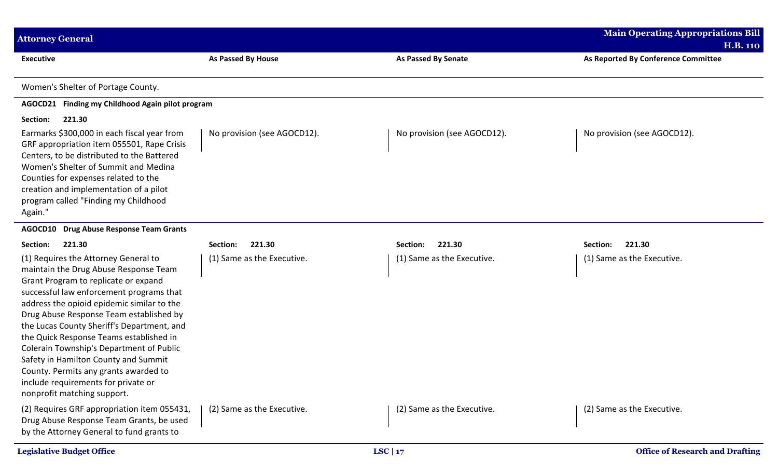| <b>Attorney General</b>                                                                                                                                                                                                                                                                                                                                                                                                                                                                                                                                |                             |                             | <b>Main Operating Appropriations Bill</b>              |
|--------------------------------------------------------------------------------------------------------------------------------------------------------------------------------------------------------------------------------------------------------------------------------------------------------------------------------------------------------------------------------------------------------------------------------------------------------------------------------------------------------------------------------------------------------|-----------------------------|-----------------------------|--------------------------------------------------------|
| <b>Executive</b>                                                                                                                                                                                                                                                                                                                                                                                                                                                                                                                                       | As Passed By House          | <b>As Passed By Senate</b>  | <b>H.B. 110</b><br>As Reported By Conference Committee |
|                                                                                                                                                                                                                                                                                                                                                                                                                                                                                                                                                        |                             |                             |                                                        |
| Women's Shelter of Portage County.                                                                                                                                                                                                                                                                                                                                                                                                                                                                                                                     |                             |                             |                                                        |
| AGOCD21 Finding my Childhood Again pilot program                                                                                                                                                                                                                                                                                                                                                                                                                                                                                                       |                             |                             |                                                        |
| Section:<br>221.30                                                                                                                                                                                                                                                                                                                                                                                                                                                                                                                                     |                             |                             |                                                        |
| Earmarks \$300,000 in each fiscal year from<br>GRF appropriation item 055501, Rape Crisis<br>Centers, to be distributed to the Battered<br>Women's Shelter of Summit and Medina<br>Counties for expenses related to the<br>creation and implementation of a pilot<br>program called "Finding my Childhood<br>Again."                                                                                                                                                                                                                                   | No provision (see AGOCD12). | No provision (see AGOCD12). | No provision (see AGOCD12).                            |
| <b>Drug Abuse Response Team Grants</b><br>AGOCD10                                                                                                                                                                                                                                                                                                                                                                                                                                                                                                      |                             |                             |                                                        |
| Section:<br>221.30                                                                                                                                                                                                                                                                                                                                                                                                                                                                                                                                     | 221.30<br>Section:          | 221.30<br>Section:          | 221.30<br>Section:                                     |
| (1) Requires the Attorney General to<br>maintain the Drug Abuse Response Team<br>Grant Program to replicate or expand<br>successful law enforcement programs that<br>address the opioid epidemic similar to the<br>Drug Abuse Response Team established by<br>the Lucas County Sheriff's Department, and<br>the Quick Response Teams established in<br>Colerain Township's Department of Public<br>Safety in Hamilton County and Summit<br>County. Permits any grants awarded to<br>include requirements for private or<br>nonprofit matching support. | (1) Same as the Executive.  | (1) Same as the Executive.  | (1) Same as the Executive.                             |
| (2) Requires GRF appropriation item 055431,<br>Drug Abuse Response Team Grants, be used<br>by the Attorney General to fund grants to                                                                                                                                                                                                                                                                                                                                                                                                                   | (2) Same as the Executive.  | (2) Same as the Executive.  | (2) Same as the Executive.                             |
| <b>Legislative Budget Office</b>                                                                                                                                                                                                                                                                                                                                                                                                                                                                                                                       |                             | LSC   $17$                  | <b>Office of Research and Drafting</b>                 |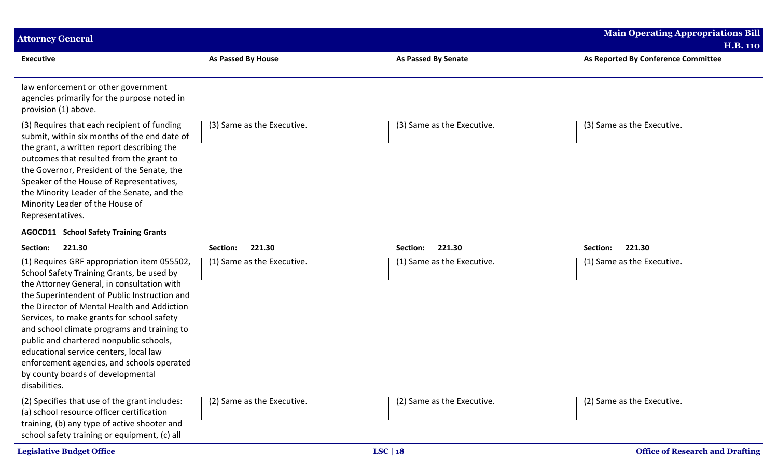| <b>Attorney General</b>                                                                                                                                                                                                                                                                                                                                                                                                                                                                                                     |                            |                            | <b>Main Operating Appropriations Bill</b><br><b>H.B. 110</b> |
|-----------------------------------------------------------------------------------------------------------------------------------------------------------------------------------------------------------------------------------------------------------------------------------------------------------------------------------------------------------------------------------------------------------------------------------------------------------------------------------------------------------------------------|----------------------------|----------------------------|--------------------------------------------------------------|
| <b>Executive</b>                                                                                                                                                                                                                                                                                                                                                                                                                                                                                                            | <b>As Passed By House</b>  | <b>As Passed By Senate</b> | As Reported By Conference Committee                          |
| law enforcement or other government<br>agencies primarily for the purpose noted in<br>provision (1) above.                                                                                                                                                                                                                                                                                                                                                                                                                  |                            |                            |                                                              |
| (3) Requires that each recipient of funding<br>submit, within six months of the end date of<br>the grant, a written report describing the<br>outcomes that resulted from the grant to<br>the Governor, President of the Senate, the<br>Speaker of the House of Representatives,<br>the Minority Leader of the Senate, and the<br>Minority Leader of the House of<br>Representatives.                                                                                                                                        | (3) Same as the Executive. | (3) Same as the Executive. | (3) Same as the Executive.                                   |
| <b>AGOCD11 School Safety Training Grants</b>                                                                                                                                                                                                                                                                                                                                                                                                                                                                                |                            |                            |                                                              |
| 221.30<br>Section:                                                                                                                                                                                                                                                                                                                                                                                                                                                                                                          | 221.30<br>Section:         | 221.30<br>Section:         | 221.30<br>Section:                                           |
| (1) Requires GRF appropriation item 055502,<br>School Safety Training Grants, be used by<br>the Attorney General, in consultation with<br>the Superintendent of Public Instruction and<br>the Director of Mental Health and Addiction<br>Services, to make grants for school safety<br>and school climate programs and training to<br>public and chartered nonpublic schools,<br>educational service centers, local law<br>enforcement agencies, and schools operated<br>by county boards of developmental<br>disabilities. | (1) Same as the Executive. | (1) Same as the Executive. | (1) Same as the Executive.                                   |
| (2) Specifies that use of the grant includes:<br>(a) school resource officer certification<br>training, (b) any type of active shooter and<br>school safety training or equipment, (c) all                                                                                                                                                                                                                                                                                                                                  | (2) Same as the Executive. | (2) Same as the Executive. | (2) Same as the Executive.                                   |
| <b>Legislative Budget Office</b>                                                                                                                                                                                                                                                                                                                                                                                                                                                                                            | LSC   $18$                 |                            | <b>Office of Research and Drafting</b>                       |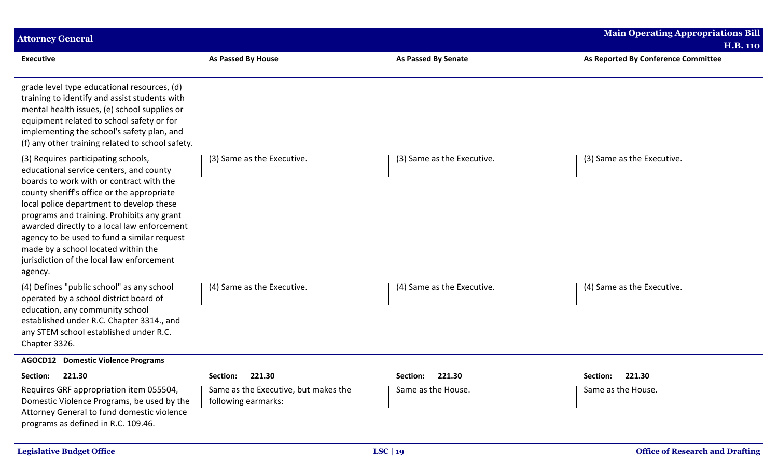| <b>Attorney General</b>                                                                                                                                                                                                                                                                                                                                                                                                                                         |                                                             |                            | <b>Main Operating Appropriations Bill</b> |
|-----------------------------------------------------------------------------------------------------------------------------------------------------------------------------------------------------------------------------------------------------------------------------------------------------------------------------------------------------------------------------------------------------------------------------------------------------------------|-------------------------------------------------------------|----------------------------|-------------------------------------------|
|                                                                                                                                                                                                                                                                                                                                                                                                                                                                 |                                                             |                            | <b>H.B. 110</b>                           |
| <b>Executive</b>                                                                                                                                                                                                                                                                                                                                                                                                                                                | <b>As Passed By House</b>                                   | <b>As Passed By Senate</b> | As Reported By Conference Committee       |
| grade level type educational resources, (d)<br>training to identify and assist students with<br>mental health issues, (e) school supplies or<br>equipment related to school safety or for<br>implementing the school's safety plan, and<br>(f) any other training related to school safety.                                                                                                                                                                     |                                                             |                            |                                           |
| (3) Requires participating schools,<br>educational service centers, and county<br>boards to work with or contract with the<br>county sheriff's office or the appropriate<br>local police department to develop these<br>programs and training. Prohibits any grant<br>awarded directly to a local law enforcement<br>agency to be used to fund a similar request<br>made by a school located within the<br>jurisdiction of the local law enforcement<br>agency. | (3) Same as the Executive.                                  | (3) Same as the Executive. | (3) Same as the Executive.                |
| (4) Defines "public school" as any school<br>operated by a school district board of<br>education, any community school<br>established under R.C. Chapter 3314., and<br>any STEM school established under R.C.<br>Chapter 3326.                                                                                                                                                                                                                                  | (4) Same as the Executive.                                  | (4) Same as the Executive. | (4) Same as the Executive.                |
| <b>AGOCD12</b> Domestic Violence Programs                                                                                                                                                                                                                                                                                                                                                                                                                       |                                                             |                            |                                           |
| Section: 221.30                                                                                                                                                                                                                                                                                                                                                                                                                                                 | Section: 221.30                                             | Section: 221.30            | Section: 221.30                           |
| Requires GRF appropriation item 055504,<br>Domestic Violence Programs, be used by the<br>Attorney General to fund domestic violence<br>programs as defined in R.C. 109.46.                                                                                                                                                                                                                                                                                      | Same as the Executive, but makes the<br>following earmarks: | Same as the House.         | Same as the House.                        |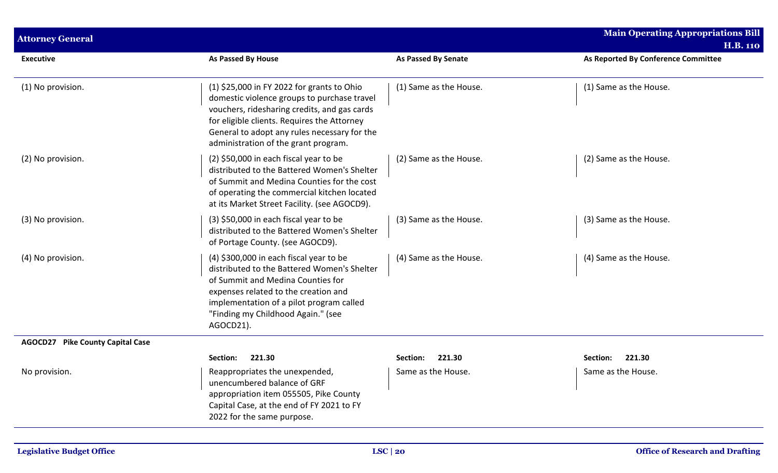| <b>Attorney General</b>                    |                                                                                                                                                                                                                                                                                  |                            | <b>Main Operating Appropriations Bill</b> |
|--------------------------------------------|----------------------------------------------------------------------------------------------------------------------------------------------------------------------------------------------------------------------------------------------------------------------------------|----------------------------|-------------------------------------------|
|                                            |                                                                                                                                                                                                                                                                                  |                            | <b>H.B. 110</b>                           |
| <b>Executive</b>                           | As Passed By House                                                                                                                                                                                                                                                               | <b>As Passed By Senate</b> | As Reported By Conference Committee       |
| (1) No provision.                          | (1) \$25,000 in FY 2022 for grants to Ohio<br>domestic violence groups to purchase travel<br>vouchers, ridesharing credits, and gas cards<br>for eligible clients. Requires the Attorney<br>General to adopt any rules necessary for the<br>administration of the grant program. | (1) Same as the House.     | (1) Same as the House.                    |
| (2) No provision.                          | (2) \$50,000 in each fiscal year to be<br>distributed to the Battered Women's Shelter<br>of Summit and Medina Counties for the cost<br>of operating the commercial kitchen located<br>at its Market Street Facility. (see AGOCD9).                                               | (2) Same as the House.     | (2) Same as the House.                    |
| (3) No provision.                          | (3) \$50,000 in each fiscal year to be<br>distributed to the Battered Women's Shelter<br>of Portage County. (see AGOCD9).                                                                                                                                                        | (3) Same as the House.     | (3) Same as the House.                    |
| (4) No provision.                          | (4) \$300,000 in each fiscal year to be<br>distributed to the Battered Women's Shelter<br>of Summit and Medina Counties for<br>expenses related to the creation and<br>implementation of a pilot program called<br>"Finding my Childhood Again." (see<br>AGOCD21).               | (4) Same as the House.     | (4) Same as the House.                    |
| <b>Pike County Capital Case</b><br>AGOCD27 |                                                                                                                                                                                                                                                                                  |                            |                                           |
|                                            | Section:<br>221.30                                                                                                                                                                                                                                                               | 221.30<br>Section:         | 221.30<br>Section:                        |
| No provision.                              | Reappropriates the unexpended,<br>unencumbered balance of GRF<br>appropriation item 055505, Pike County<br>Capital Case, at the end of FY 2021 to FY<br>2022 for the same purpose.                                                                                               | Same as the House.         | Same as the House.                        |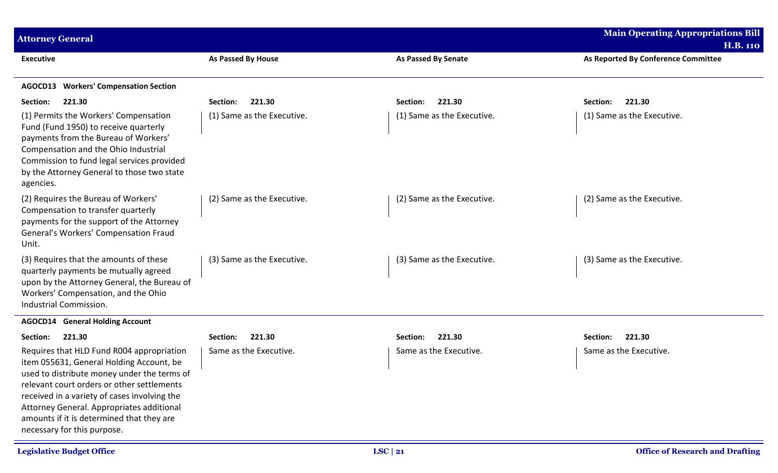| <b>Attorney General</b>                                                                                                                                                                                                                                                                                                                                     |                            |                            | <b>Main Operating Appropriations Bill</b><br><b>H.B. 110</b> |
|-------------------------------------------------------------------------------------------------------------------------------------------------------------------------------------------------------------------------------------------------------------------------------------------------------------------------------------------------------------|----------------------------|----------------------------|--------------------------------------------------------------|
| <b>Executive</b>                                                                                                                                                                                                                                                                                                                                            | <b>As Passed By House</b>  | <b>As Passed By Senate</b> | As Reported By Conference Committee                          |
| AGOCD13 Workers' Compensation Section                                                                                                                                                                                                                                                                                                                       |                            |                            |                                                              |
| 221.30<br>Section:                                                                                                                                                                                                                                                                                                                                          | 221.30<br>Section:         | 221.30<br>Section:         | 221.30<br>Section:                                           |
| (1) Permits the Workers' Compensation<br>Fund (Fund 1950) to receive quarterly<br>payments from the Bureau of Workers'<br>Compensation and the Ohio Industrial<br>Commission to fund legal services provided<br>by the Attorney General to those two state<br>agencies.                                                                                     | (1) Same as the Executive. | (1) Same as the Executive. | (1) Same as the Executive.                                   |
| (2) Requires the Bureau of Workers'<br>Compensation to transfer quarterly<br>payments for the support of the Attorney<br>General's Workers' Compensation Fraud<br>Unit.                                                                                                                                                                                     | (2) Same as the Executive. | (2) Same as the Executive. | (2) Same as the Executive.                                   |
| (3) Requires that the amounts of these<br>quarterly payments be mutually agreed<br>upon by the Attorney General, the Bureau of<br>Workers' Compensation, and the Ohio<br>Industrial Commission.                                                                                                                                                             | (3) Same as the Executive. | (3) Same as the Executive. | (3) Same as the Executive.                                   |
| <b>AGOCD14</b> General Holding Account                                                                                                                                                                                                                                                                                                                      |                            |                            |                                                              |
| 221.30<br>Section:                                                                                                                                                                                                                                                                                                                                          | 221.30<br>Section:         | 221.30<br>Section:         | 221.30<br>Section:                                           |
| Requires that HLD Fund R004 appropriation<br>item 055631, General Holding Account, be<br>used to distribute money under the terms of<br>relevant court orders or other settlements<br>received in a variety of cases involving the<br>Attorney General. Appropriates additional<br>amounts if it is determined that they are<br>necessary for this purpose. | Same as the Executive.     | Same as the Executive.     | Same as the Executive.                                       |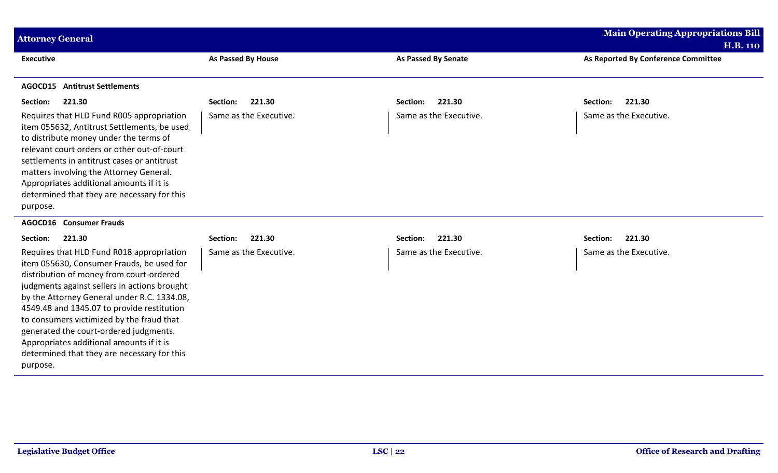| <b>Attorney General</b>                                                                                                                                                                                                                                                                                                                                                                                                                                                       |                        |                            | <b>Main Operating Appropriations Bill</b><br><b>H.B. 110</b> |
|-------------------------------------------------------------------------------------------------------------------------------------------------------------------------------------------------------------------------------------------------------------------------------------------------------------------------------------------------------------------------------------------------------------------------------------------------------------------------------|------------------------|----------------------------|--------------------------------------------------------------|
| <b>Executive</b>                                                                                                                                                                                                                                                                                                                                                                                                                                                              | As Passed By House     | <b>As Passed By Senate</b> | As Reported By Conference Committee                          |
| <b>AGOCD15</b> Antitrust Settlements                                                                                                                                                                                                                                                                                                                                                                                                                                          |                        |                            |                                                              |
| 221.30<br>Section:                                                                                                                                                                                                                                                                                                                                                                                                                                                            | 221.30<br>Section:     | 221.30<br>Section:         | 221.30<br>Section:                                           |
| Requires that HLD Fund R005 appropriation<br>item 055632, Antitrust Settlements, be used<br>to distribute money under the terms of<br>relevant court orders or other out-of-court<br>settlements in antitrust cases or antitrust<br>matters involving the Attorney General.<br>Appropriates additional amounts if it is<br>determined that they are necessary for this<br>purpose.                                                                                            | Same as the Executive. | Same as the Executive.     | Same as the Executive.                                       |
| <b>AGOCD16</b> Consumer Frauds                                                                                                                                                                                                                                                                                                                                                                                                                                                |                        |                            |                                                              |
| 221.30<br>Section:                                                                                                                                                                                                                                                                                                                                                                                                                                                            | 221.30<br>Section:     | 221.30<br>Section:         | 221.30<br>Section:                                           |
| Requires that HLD Fund R018 appropriation<br>item 055630, Consumer Frauds, be used for<br>distribution of money from court-ordered<br>judgments against sellers in actions brought<br>by the Attorney General under R.C. 1334.08,<br>4549.48 and 1345.07 to provide restitution<br>to consumers victimized by the fraud that<br>generated the court-ordered judgments.<br>Appropriates additional amounts if it is<br>determined that they are necessary for this<br>purpose. | Same as the Executive. | Same as the Executive.     | Same as the Executive.                                       |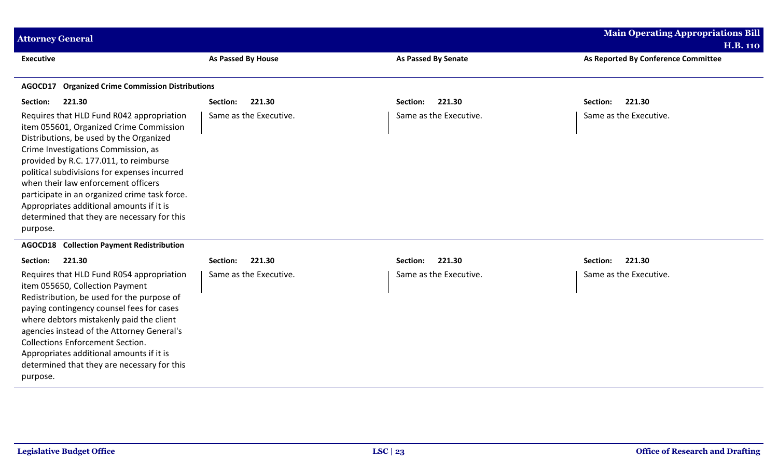| <b>Attorney General</b>                                                                                                                                                                                                                                                                                                                                                                                                                                         |                        |                            | <b>Main Operating Appropriations Bill</b><br><b>H.B. 110</b> |
|-----------------------------------------------------------------------------------------------------------------------------------------------------------------------------------------------------------------------------------------------------------------------------------------------------------------------------------------------------------------------------------------------------------------------------------------------------------------|------------------------|----------------------------|--------------------------------------------------------------|
| <b>Executive</b>                                                                                                                                                                                                                                                                                                                                                                                                                                                | As Passed By House     | <b>As Passed By Senate</b> | As Reported By Conference Committee                          |
| <b>Organized Crime Commission Distributions</b><br>AGOCD17                                                                                                                                                                                                                                                                                                                                                                                                      |                        |                            |                                                              |
| Section:<br>221.30                                                                                                                                                                                                                                                                                                                                                                                                                                              | 221.30<br>Section:     | 221.30<br>Section:         | 221.30<br>Section:                                           |
| Requires that HLD Fund R042 appropriation<br>item 055601, Organized Crime Commission<br>Distributions, be used by the Organized<br>Crime Investigations Commission, as<br>provided by R.C. 177.011, to reimburse<br>political subdivisions for expenses incurred<br>when their law enforcement officers<br>participate in an organized crime task force.<br>Appropriates additional amounts if it is<br>determined that they are necessary for this<br>purpose. | Same as the Executive. | Same as the Executive.     | Same as the Executive.                                       |
| <b>Collection Payment Redistribution</b><br>AGOCD18                                                                                                                                                                                                                                                                                                                                                                                                             |                        |                            |                                                              |
| 221.30<br>Section:                                                                                                                                                                                                                                                                                                                                                                                                                                              | 221.30<br>Section:     | 221.30<br>Section:         | 221.30<br>Section:                                           |
| Requires that HLD Fund R054 appropriation<br>item 055650, Collection Payment<br>Redistribution, be used for the purpose of<br>paying contingency counsel fees for cases<br>where debtors mistakenly paid the client<br>agencies instead of the Attorney General's<br><b>Collections Enforcement Section.</b><br>Appropriates additional amounts if it is<br>determined that they are necessary for this<br>purpose.                                             | Same as the Executive. | Same as the Executive.     | Same as the Executive.                                       |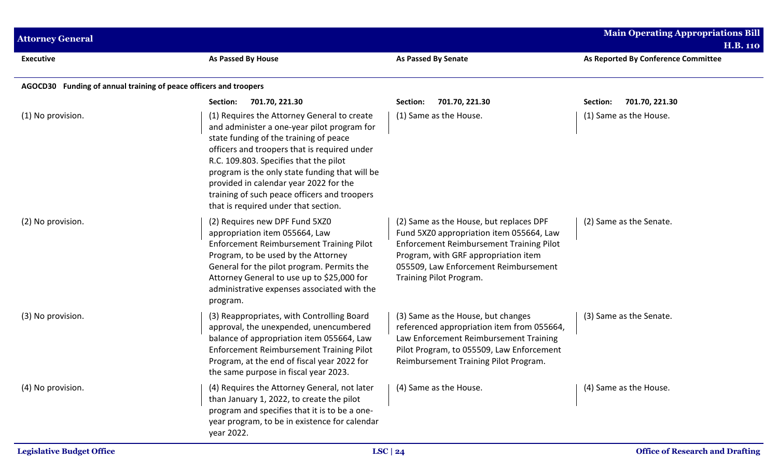| <b>Attorney General</b>                                           |                                                                                                                                                                                                                                                                                                                                                                                                                    |                                                                                                                                                                                                                                                    | <b>Main Operating Appropriations Bill</b><br><b>H.B. 110</b> |
|-------------------------------------------------------------------|--------------------------------------------------------------------------------------------------------------------------------------------------------------------------------------------------------------------------------------------------------------------------------------------------------------------------------------------------------------------------------------------------------------------|----------------------------------------------------------------------------------------------------------------------------------------------------------------------------------------------------------------------------------------------------|--------------------------------------------------------------|
| <b>Executive</b>                                                  | <b>As Passed By House</b>                                                                                                                                                                                                                                                                                                                                                                                          | <b>As Passed By Senate</b>                                                                                                                                                                                                                         | As Reported By Conference Committee                          |
| AGOCD30 Funding of annual training of peace officers and troopers |                                                                                                                                                                                                                                                                                                                                                                                                                    |                                                                                                                                                                                                                                                    |                                                              |
|                                                                   | 701.70, 221.30<br>Section:                                                                                                                                                                                                                                                                                                                                                                                         | 701.70, 221.30<br>Section:                                                                                                                                                                                                                         | 701.70, 221.30<br>Section:                                   |
| (1) No provision.                                                 | (1) Requires the Attorney General to create<br>and administer a one-year pilot program for<br>state funding of the training of peace<br>officers and troopers that is required under<br>R.C. 109.803. Specifies that the pilot<br>program is the only state funding that will be<br>provided in calendar year 2022 for the<br>training of such peace officers and troopers<br>that is required under that section. | (1) Same as the House.                                                                                                                                                                                                                             | (1) Same as the House.                                       |
| (2) No provision.                                                 | (2) Requires new DPF Fund 5XZ0<br>appropriation item 055664, Law<br>Enforcement Reimbursement Training Pilot<br>Program, to be used by the Attorney<br>General for the pilot program. Permits the<br>Attorney General to use up to \$25,000 for<br>administrative expenses associated with the<br>program.                                                                                                         | (2) Same as the House, but replaces DPF<br>Fund 5XZ0 appropriation item 055664, Law<br><b>Enforcement Reimbursement Training Pilot</b><br>Program, with GRF appropriation item<br>055509, Law Enforcement Reimbursement<br>Training Pilot Program. | (2) Same as the Senate.                                      |
| (3) No provision.                                                 | (3) Reappropriates, with Controlling Board<br>approval, the unexpended, unencumbered<br>balance of appropriation item 055664, Law<br><b>Enforcement Reimbursement Training Pilot</b><br>Program, at the end of fiscal year 2022 for<br>the same purpose in fiscal year 2023.                                                                                                                                       | (3) Same as the House, but changes<br>referenced appropriation item from 055664,<br>Law Enforcement Reimbursement Training<br>Pilot Program, to 055509, Law Enforcement<br>Reimbursement Training Pilot Program.                                   | (3) Same as the Senate.                                      |
| (4) No provision.                                                 | (4) Requires the Attorney General, not later<br>than January 1, 2022, to create the pilot<br>program and specifies that it is to be a one-<br>year program, to be in existence for calendar<br>year 2022.                                                                                                                                                                                                          | (4) Same as the House.                                                                                                                                                                                                                             | (4) Same as the House.                                       |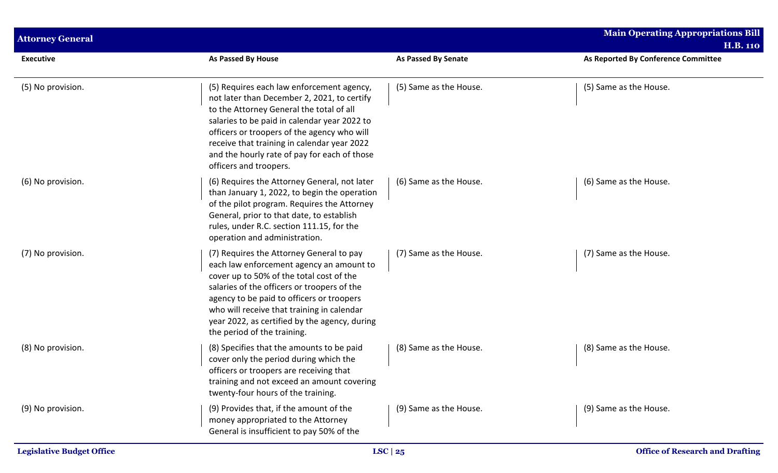| <b>Attorney General</b> |                                                                                                                                                                                                                                                                                                                                                              |                            | <b>Main Operating Appropriations Bill</b><br><b>H.B. 110</b> |
|-------------------------|--------------------------------------------------------------------------------------------------------------------------------------------------------------------------------------------------------------------------------------------------------------------------------------------------------------------------------------------------------------|----------------------------|--------------------------------------------------------------|
| <b>Executive</b>        | <b>As Passed By House</b>                                                                                                                                                                                                                                                                                                                                    | <b>As Passed By Senate</b> | As Reported By Conference Committee                          |
| (5) No provision.       | (5) Requires each law enforcement agency,<br>not later than December 2, 2021, to certify<br>to the Attorney General the total of all<br>salaries to be paid in calendar year 2022 to<br>officers or troopers of the agency who will<br>receive that training in calendar year 2022<br>and the hourly rate of pay for each of those<br>officers and troopers. | (5) Same as the House.     | (5) Same as the House.                                       |
| (6) No provision.       | (6) Requires the Attorney General, not later<br>than January 1, 2022, to begin the operation<br>of the pilot program. Requires the Attorney<br>General, prior to that date, to establish<br>rules, under R.C. section 111.15, for the<br>operation and administration.                                                                                       | (6) Same as the House.     | (6) Same as the House.                                       |
| (7) No provision.       | (7) Requires the Attorney General to pay<br>each law enforcement agency an amount to<br>cover up to 50% of the total cost of the<br>salaries of the officers or troopers of the<br>agency to be paid to officers or troopers<br>who will receive that training in calendar<br>year 2022, as certified by the agency, during<br>the period of the training.   | (7) Same as the House.     | (7) Same as the House.                                       |
| (8) No provision.       | (8) Specifies that the amounts to be paid<br>cover only the period during which the<br>officers or troopers are receiving that<br>training and not exceed an amount covering<br>twenty-four hours of the training.                                                                                                                                           | (8) Same as the House.     | (8) Same as the House.                                       |
| (9) No provision.       | (9) Provides that, if the amount of the<br>money appropriated to the Attorney<br>General is insufficient to pay 50% of the                                                                                                                                                                                                                                   | (9) Same as the House.     | (9) Same as the House.                                       |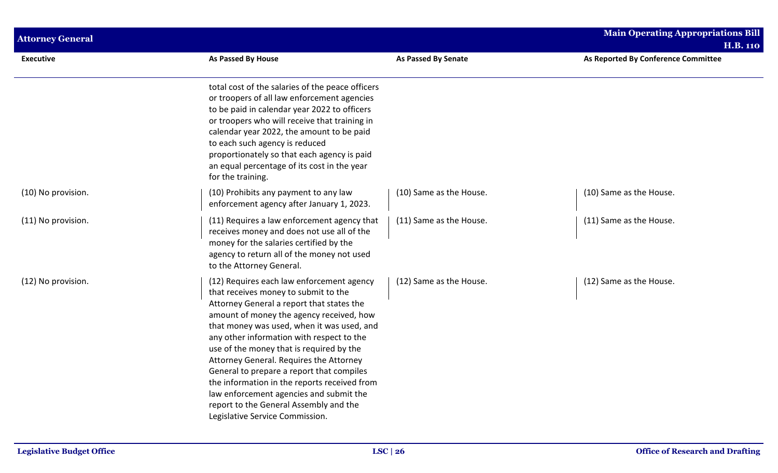| <b>Attorney General</b> |                                                                                                                                                                                                                                                                                                                                                                                                                                                                                                                                                                                   |                         | <b>Main Operating Appropriations Bill</b><br><b>H.B. 110</b> |  |
|-------------------------|-----------------------------------------------------------------------------------------------------------------------------------------------------------------------------------------------------------------------------------------------------------------------------------------------------------------------------------------------------------------------------------------------------------------------------------------------------------------------------------------------------------------------------------------------------------------------------------|-------------------------|--------------------------------------------------------------|--|
| <b>Executive</b>        | As Passed By House                                                                                                                                                                                                                                                                                                                                                                                                                                                                                                                                                                | As Passed By Senate     | As Reported By Conference Committee                          |  |
|                         | total cost of the salaries of the peace officers<br>or troopers of all law enforcement agencies<br>to be paid in calendar year 2022 to officers<br>or troopers who will receive that training in<br>calendar year 2022, the amount to be paid<br>to each such agency is reduced<br>proportionately so that each agency is paid<br>an equal percentage of its cost in the year<br>for the training.                                                                                                                                                                                |                         |                                                              |  |
| (10) No provision.      | (10) Prohibits any payment to any law<br>enforcement agency after January 1, 2023.                                                                                                                                                                                                                                                                                                                                                                                                                                                                                                | (10) Same as the House. | (10) Same as the House.                                      |  |
| (11) No provision.      | (11) Requires a law enforcement agency that<br>receives money and does not use all of the<br>money for the salaries certified by the<br>agency to return all of the money not used<br>to the Attorney General.                                                                                                                                                                                                                                                                                                                                                                    | (11) Same as the House. | (11) Same as the House.                                      |  |
| (12) No provision.      | (12) Requires each law enforcement agency<br>that receives money to submit to the<br>Attorney General a report that states the<br>amount of money the agency received, how<br>that money was used, when it was used, and<br>any other information with respect to the<br>use of the money that is required by the<br>Attorney General. Requires the Attorney<br>General to prepare a report that compiles<br>the information in the reports received from<br>law enforcement agencies and submit the<br>report to the General Assembly and the<br>Legislative Service Commission. | (12) Same as the House. | (12) Same as the House.                                      |  |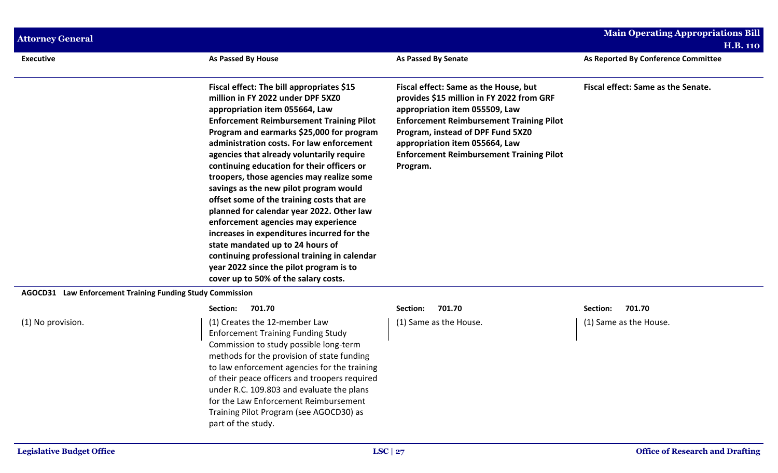| <b>Attorney General</b>                                   |                                                                                                                                                                                                                                                                                                                                                                                                                                                                                                                                                                                                                                                                                                                                                                                                        |                                                                                                                                                                                                                                                                                                               | <b>Main Operating Appropriations Bill</b> |
|-----------------------------------------------------------|--------------------------------------------------------------------------------------------------------------------------------------------------------------------------------------------------------------------------------------------------------------------------------------------------------------------------------------------------------------------------------------------------------------------------------------------------------------------------------------------------------------------------------------------------------------------------------------------------------------------------------------------------------------------------------------------------------------------------------------------------------------------------------------------------------|---------------------------------------------------------------------------------------------------------------------------------------------------------------------------------------------------------------------------------------------------------------------------------------------------------------|-------------------------------------------|
|                                                           |                                                                                                                                                                                                                                                                                                                                                                                                                                                                                                                                                                                                                                                                                                                                                                                                        |                                                                                                                                                                                                                                                                                                               | <b>H.B. 110</b>                           |
| <b>Executive</b>                                          | As Passed By House                                                                                                                                                                                                                                                                                                                                                                                                                                                                                                                                                                                                                                                                                                                                                                                     | <b>As Passed By Senate</b>                                                                                                                                                                                                                                                                                    | As Reported By Conference Committee       |
|                                                           | Fiscal effect: The bill appropriates \$15<br>million in FY 2022 under DPF 5XZ0<br>appropriation item 055664, Law<br><b>Enforcement Reimbursement Training Pilot</b><br>Program and earmarks \$25,000 for program<br>administration costs. For law enforcement<br>agencies that already voluntarily require<br>continuing education for their officers or<br>troopers, those agencies may realize some<br>savings as the new pilot program would<br>offset some of the training costs that are<br>planned for calendar year 2022. Other law<br>enforcement agencies may experience<br>increases in expenditures incurred for the<br>state mandated up to 24 hours of<br>continuing professional training in calendar<br>year 2022 since the pilot program is to<br>cover up to 50% of the salary costs. | Fiscal effect: Same as the House, but<br>provides \$15 million in FY 2022 from GRF<br>appropriation item 055509, Law<br><b>Enforcement Reimbursement Training Pilot</b><br>Program, instead of DPF Fund 5XZ0<br>appropriation item 055664, Law<br><b>Enforcement Reimbursement Training Pilot</b><br>Program. | Fiscal effect: Same as the Senate.        |
| AGOCD31 Law Enforcement Training Funding Study Commission |                                                                                                                                                                                                                                                                                                                                                                                                                                                                                                                                                                                                                                                                                                                                                                                                        |                                                                                                                                                                                                                                                                                                               |                                           |
|                                                           | 701.70<br>Section:                                                                                                                                                                                                                                                                                                                                                                                                                                                                                                                                                                                                                                                                                                                                                                                     | 701.70<br>Section:                                                                                                                                                                                                                                                                                            | Section:<br>701.70                        |
| (1) No provision.                                         | (1) Creates the 12-member Law<br><b>Enforcement Training Funding Study</b><br>Commission to study possible long-term<br>methods for the provision of state funding<br>to law enforcement agencies for the training<br>of their peace officers and troopers required<br>under R.C. 109.803 and evaluate the plans<br>for the Law Enforcement Reimbursement<br>Training Pilot Program (see AGOCD30) as<br>part of the study.                                                                                                                                                                                                                                                                                                                                                                             | (1) Same as the House.                                                                                                                                                                                                                                                                                        | (1) Same as the House.                    |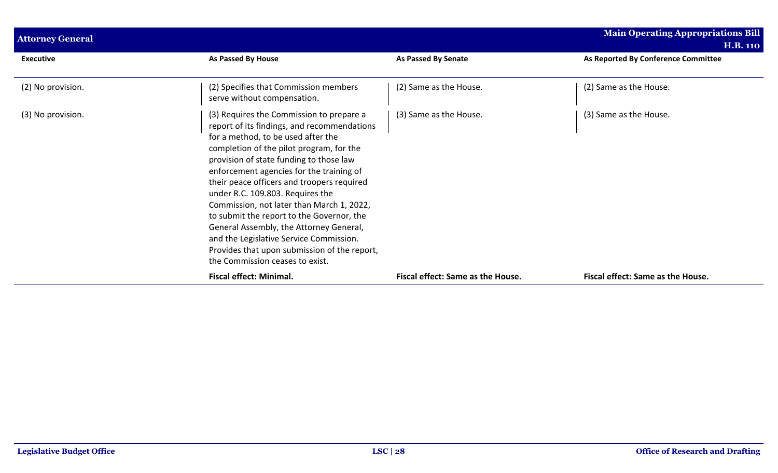| <b>Attorney General</b> |                                                                                                                                                                                                                                                                                                                                                                                                                                                                                                                                                                                                                       |                                   | <b>Main Operating Appropriations Bill</b><br><b>H.B. 110</b> |
|-------------------------|-----------------------------------------------------------------------------------------------------------------------------------------------------------------------------------------------------------------------------------------------------------------------------------------------------------------------------------------------------------------------------------------------------------------------------------------------------------------------------------------------------------------------------------------------------------------------------------------------------------------------|-----------------------------------|--------------------------------------------------------------|
| <b>Executive</b>        | As Passed By House                                                                                                                                                                                                                                                                                                                                                                                                                                                                                                                                                                                                    | As Passed By Senate               | As Reported By Conference Committee                          |
| (2) No provision.       | (2) Specifies that Commission members<br>serve without compensation.                                                                                                                                                                                                                                                                                                                                                                                                                                                                                                                                                  | (2) Same as the House.            | (2) Same as the House.                                       |
| (3) No provision.       | (3) Requires the Commission to prepare a<br>report of its findings, and recommendations<br>for a method, to be used after the<br>completion of the pilot program, for the<br>provision of state funding to those law<br>enforcement agencies for the training of<br>their peace officers and troopers required<br>under R.C. 109.803. Requires the<br>Commission, not later than March 1, 2022,<br>to submit the report to the Governor, the<br>General Assembly, the Attorney General,<br>and the Legislative Service Commission.<br>Provides that upon submission of the report,<br>the Commission ceases to exist. | (3) Same as the House.            | (3) Same as the House.                                       |
|                         | <b>Fiscal effect: Minimal.</b>                                                                                                                                                                                                                                                                                                                                                                                                                                                                                                                                                                                        | Fiscal effect: Same as the House. | Fiscal effect: Same as the House.                            |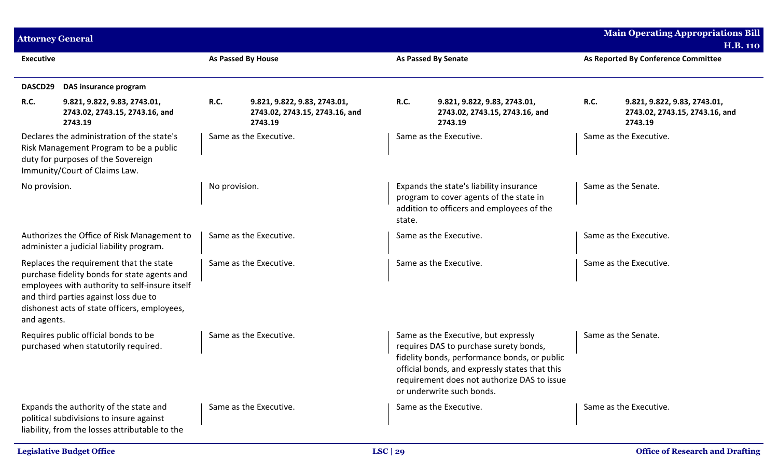| <b>Attorney General</b> |                                                                                                                                                                                                                                    |               |                                                                           |             |                                                                                                                                                                                                                                                              |      | <b>Main Operating Appropriations Bill</b>                                 |
|-------------------------|------------------------------------------------------------------------------------------------------------------------------------------------------------------------------------------------------------------------------------|---------------|---------------------------------------------------------------------------|-------------|--------------------------------------------------------------------------------------------------------------------------------------------------------------------------------------------------------------------------------------------------------------|------|---------------------------------------------------------------------------|
|                         |                                                                                                                                                                                                                                    |               |                                                                           |             |                                                                                                                                                                                                                                                              |      | <b>H.B. 110</b>                                                           |
| <b>Executive</b>        |                                                                                                                                                                                                                                    |               | <b>As Passed By House</b>                                                 |             | <b>As Passed By Senate</b>                                                                                                                                                                                                                                   |      | As Reported By Conference Committee                                       |
| DASCD29                 | DAS insurance program                                                                                                                                                                                                              |               |                                                                           |             |                                                                                                                                                                                                                                                              |      |                                                                           |
| R.C.                    | 9.821, 9.822, 9.83, 2743.01,<br>2743.02, 2743.15, 2743.16, and<br>2743.19                                                                                                                                                          | <b>R.C.</b>   | 9.821, 9.822, 9.83, 2743.01,<br>2743.02, 2743.15, 2743.16, and<br>2743.19 | <b>R.C.</b> | 9.821, 9.822, 9.83, 2743.01,<br>2743.02, 2743.15, 2743.16, and<br>2743.19                                                                                                                                                                                    | R.C. | 9.821, 9.822, 9.83, 2743.01,<br>2743.02, 2743.15, 2743.16, and<br>2743.19 |
|                         | Declares the administration of the state's<br>Risk Management Program to be a public<br>duty for purposes of the Sovereign<br>Immunity/Court of Claims Law.                                                                        |               | Same as the Executive.                                                    |             | Same as the Executive.                                                                                                                                                                                                                                       |      | Same as the Executive.                                                    |
| No provision.           |                                                                                                                                                                                                                                    | No provision. |                                                                           | state.      | Expands the state's liability insurance<br>program to cover agents of the state in<br>addition to officers and employees of the                                                                                                                              |      | Same as the Senate.                                                       |
|                         | Authorizes the Office of Risk Management to<br>administer a judicial liability program.                                                                                                                                            |               | Same as the Executive.                                                    |             | Same as the Executive.                                                                                                                                                                                                                                       |      | Same as the Executive.                                                    |
| and agents.             | Replaces the requirement that the state<br>purchase fidelity bonds for state agents and<br>employees with authority to self-insure itself<br>and third parties against loss due to<br>dishonest acts of state officers, employees, |               | Same as the Executive.                                                    |             | Same as the Executive.                                                                                                                                                                                                                                       |      | Same as the Executive.                                                    |
|                         | Requires public official bonds to be<br>purchased when statutorily required.                                                                                                                                                       |               | Same as the Executive.                                                    |             | Same as the Executive, but expressly<br>requires DAS to purchase surety bonds,<br>fidelity bonds, performance bonds, or public<br>official bonds, and expressly states that this<br>requirement does not authorize DAS to issue<br>or underwrite such bonds. |      | Same as the Senate.                                                       |
|                         | Expands the authority of the state and<br>political subdivisions to insure against<br>liability, from the losses attributable to the                                                                                               |               | Same as the Executive.                                                    |             | Same as the Executive.                                                                                                                                                                                                                                       |      | Same as the Executive.                                                    |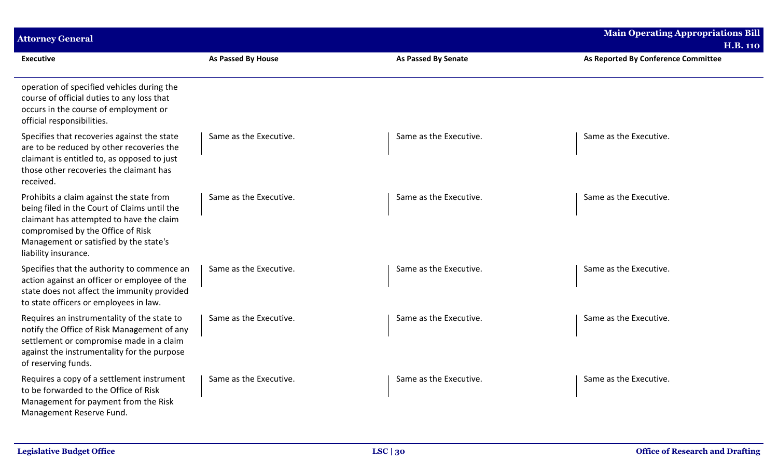| <b>Attorney General</b>                                                                                                                                                                                                                     |                        |                            | <b>Main Operating Appropriations Bill</b> |
|---------------------------------------------------------------------------------------------------------------------------------------------------------------------------------------------------------------------------------------------|------------------------|----------------------------|-------------------------------------------|
|                                                                                                                                                                                                                                             |                        |                            | <b>H.B. 110</b>                           |
| <b>Executive</b>                                                                                                                                                                                                                            | As Passed By House     | <b>As Passed By Senate</b> | As Reported By Conference Committee       |
| operation of specified vehicles during the<br>course of official duties to any loss that<br>occurs in the course of employment or<br>official responsibilities.                                                                             |                        |                            |                                           |
| Specifies that recoveries against the state<br>are to be reduced by other recoveries the<br>claimant is entitled to, as opposed to just<br>those other recoveries the claimant has<br>received.                                             | Same as the Executive. | Same as the Executive.     | Same as the Executive.                    |
| Prohibits a claim against the state from<br>being filed in the Court of Claims until the<br>claimant has attempted to have the claim<br>compromised by the Office of Risk<br>Management or satisfied by the state's<br>liability insurance. | Same as the Executive. | Same as the Executive.     | Same as the Executive.                    |
| Specifies that the authority to commence an<br>action against an officer or employee of the<br>state does not affect the immunity provided<br>to state officers or employees in law.                                                        | Same as the Executive. | Same as the Executive.     | Same as the Executive.                    |
| Requires an instrumentality of the state to<br>notify the Office of Risk Management of any<br>settlement or compromise made in a claim<br>against the instrumentality for the purpose<br>of reserving funds.                                | Same as the Executive. | Same as the Executive.     | Same as the Executive.                    |
| Requires a copy of a settlement instrument<br>to be forwarded to the Office of Risk<br>Management for payment from the Risk<br>Management Reserve Fund.                                                                                     | Same as the Executive. | Same as the Executive.     | Same as the Executive.                    |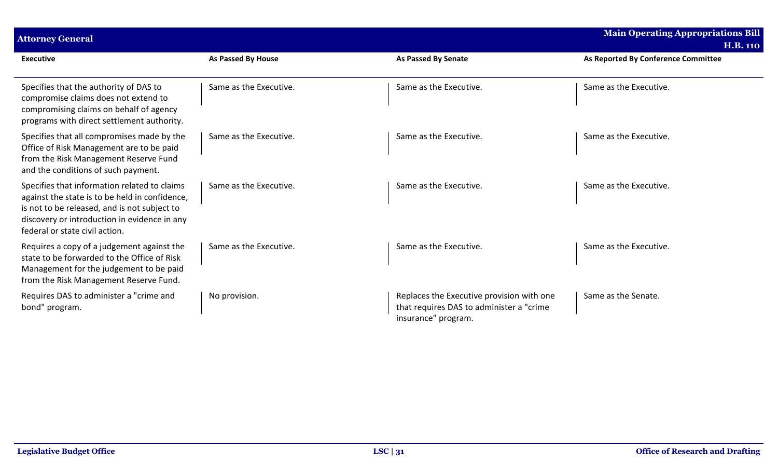| <b>Attorney General</b>                                                                                                                                                                                                          |                        |                                                                                                               | <b>Main Operating Appropriations Bill</b> |
|----------------------------------------------------------------------------------------------------------------------------------------------------------------------------------------------------------------------------------|------------------------|---------------------------------------------------------------------------------------------------------------|-------------------------------------------|
|                                                                                                                                                                                                                                  |                        |                                                                                                               | <b>H.B. 110</b>                           |
| <b>Executive</b>                                                                                                                                                                                                                 | As Passed By House     | <b>As Passed By Senate</b>                                                                                    | As Reported By Conference Committee       |
|                                                                                                                                                                                                                                  |                        |                                                                                                               |                                           |
| Specifies that the authority of DAS to<br>compromise claims does not extend to<br>compromising claims on behalf of agency<br>programs with direct settlement authority.                                                          | Same as the Executive. | Same as the Executive.                                                                                        | Same as the Executive.                    |
| Specifies that all compromises made by the<br>Office of Risk Management are to be paid<br>from the Risk Management Reserve Fund<br>and the conditions of such payment.                                                           | Same as the Executive. | Same as the Executive.                                                                                        | Same as the Executive.                    |
| Specifies that information related to claims<br>against the state is to be held in confidence,<br>is not to be released, and is not subject to<br>discovery or introduction in evidence in any<br>federal or state civil action. | Same as the Executive. | Same as the Executive.                                                                                        | Same as the Executive.                    |
| Requires a copy of a judgement against the<br>state to be forwarded to the Office of Risk<br>Management for the judgement to be paid<br>from the Risk Management Reserve Fund.                                                   | Same as the Executive. | Same as the Executive.                                                                                        | Same as the Executive.                    |
| Requires DAS to administer a "crime and<br>bond" program.                                                                                                                                                                        | No provision.          | Replaces the Executive provision with one<br>that requires DAS to administer a "crime"<br>insurance" program. | Same as the Senate.                       |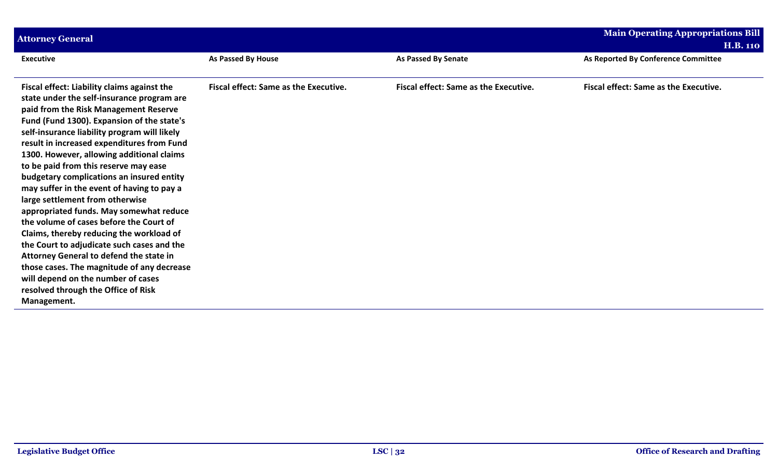| <b>Attorney General</b>                                                                   |                                              |                                              | <b>Main Operating Appropriations Bill</b>    |
|-------------------------------------------------------------------------------------------|----------------------------------------------|----------------------------------------------|----------------------------------------------|
|                                                                                           |                                              |                                              | <b>H.B. 110</b>                              |
| <b>Executive</b>                                                                          | As Passed By House                           | <b>As Passed By Senate</b>                   | As Reported By Conference Committee          |
|                                                                                           |                                              |                                              |                                              |
| Fiscal effect: Liability claims against the<br>state under the self-insurance program are | <b>Fiscal effect: Same as the Executive.</b> | <b>Fiscal effect: Same as the Executive.</b> | <b>Fiscal effect: Same as the Executive.</b> |
| paid from the Risk Management Reserve                                                     |                                              |                                              |                                              |
| Fund (Fund 1300). Expansion of the state's                                                |                                              |                                              |                                              |
| self-insurance liability program will likely                                              |                                              |                                              |                                              |
| result in increased expenditures from Fund<br>1300. However, allowing additional claims   |                                              |                                              |                                              |
| to be paid from this reserve may ease                                                     |                                              |                                              |                                              |
| budgetary complications an insured entity                                                 |                                              |                                              |                                              |
| may suffer in the event of having to pay a                                                |                                              |                                              |                                              |
| large settlement from otherwise                                                           |                                              |                                              |                                              |
| appropriated funds. May somewhat reduce<br>the volume of cases before the Court of        |                                              |                                              |                                              |
| Claims, thereby reducing the workload of                                                  |                                              |                                              |                                              |
| the Court to adjudicate such cases and the                                                |                                              |                                              |                                              |
| Attorney General to defend the state in                                                   |                                              |                                              |                                              |
| those cases. The magnitude of any decrease                                                |                                              |                                              |                                              |
| will depend on the number of cases<br>resolved through the Office of Risk                 |                                              |                                              |                                              |
| Management.                                                                               |                                              |                                              |                                              |
|                                                                                           |                                              |                                              |                                              |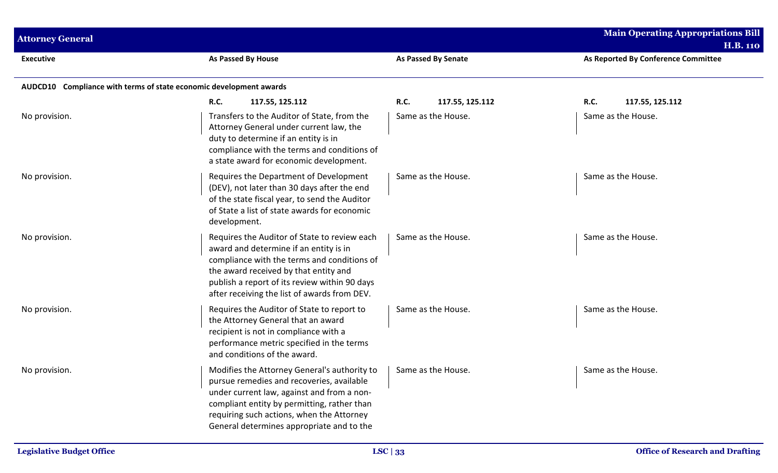| <b>Attorney General</b>                                            |                                                                                                                                                                                                                                                                                  |                                | <b>Main Operating Appropriations Bill</b><br><b>H.B. 110</b> |
|--------------------------------------------------------------------|----------------------------------------------------------------------------------------------------------------------------------------------------------------------------------------------------------------------------------------------------------------------------------|--------------------------------|--------------------------------------------------------------|
| <b>Executive</b>                                                   | <b>As Passed By House</b>                                                                                                                                                                                                                                                        | <b>As Passed By Senate</b>     | As Reported By Conference Committee                          |
| AUDCD10 Compliance with terms of state economic development awards |                                                                                                                                                                                                                                                                                  |                                |                                                              |
|                                                                    | <b>R.C.</b><br>117.55, 125.112                                                                                                                                                                                                                                                   | <b>R.C.</b><br>117.55, 125.112 | <b>R.C.</b><br>117.55, 125.112                               |
| No provision.                                                      | Transfers to the Auditor of State, from the<br>Attorney General under current law, the<br>duty to determine if an entity is in<br>compliance with the terms and conditions of<br>a state award for economic development.                                                         | Same as the House.             | Same as the House.                                           |
| No provision.                                                      | Requires the Department of Development<br>(DEV), not later than 30 days after the end<br>of the state fiscal year, to send the Auditor<br>of State a list of state awards for economic<br>development.                                                                           | Same as the House.             | Same as the House.                                           |
| No provision.                                                      | Requires the Auditor of State to review each<br>award and determine if an entity is in<br>compliance with the terms and conditions of<br>the award received by that entity and<br>publish a report of its review within 90 days<br>after receiving the list of awards from DEV.  | Same as the House.             | Same as the House.                                           |
| No provision.                                                      | Requires the Auditor of State to report to<br>the Attorney General that an award<br>recipient is not in compliance with a<br>performance metric specified in the terms<br>and conditions of the award.                                                                           | Same as the House.             | Same as the House.                                           |
| No provision.                                                      | Modifies the Attorney General's authority to<br>pursue remedies and recoveries, available<br>under current law, against and from a non-<br>compliant entity by permitting, rather than<br>requiring such actions, when the Attorney<br>General determines appropriate and to the | Same as the House.             | Same as the House.                                           |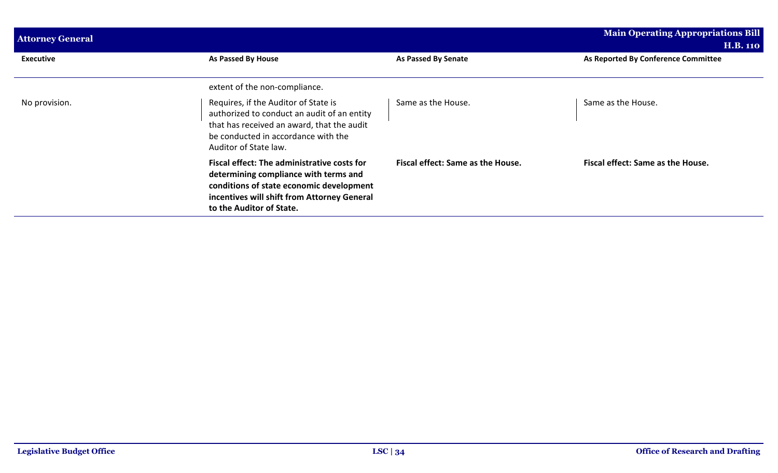| <b>Attorney General</b> |                                                                                                                                                                                                                    |                                          | <b>Main Operating Appropriations Bill</b> |
|-------------------------|--------------------------------------------------------------------------------------------------------------------------------------------------------------------------------------------------------------------|------------------------------------------|-------------------------------------------|
|                         |                                                                                                                                                                                                                    |                                          | <b>H.B. 110</b>                           |
| <b>Executive</b>        | As Passed By House                                                                                                                                                                                                 | <b>As Passed By Senate</b>               | As Reported By Conference Committee       |
|                         | extent of the non-compliance.                                                                                                                                                                                      |                                          |                                           |
| No provision.           | Requires, if the Auditor of State is<br>authorized to conduct an audit of an entity<br>that has received an award, that the audit<br>be conducted in accordance with the<br>Auditor of State law.                  | Same as the House.                       | Same as the House.                        |
|                         | <b>Fiscal effect: The administrative costs for</b><br>determining compliance with terms and<br>conditions of state economic development<br>incentives will shift from Attorney General<br>to the Auditor of State. | <b>Fiscal effect: Same as the House.</b> | Fiscal effect: Same as the House.         |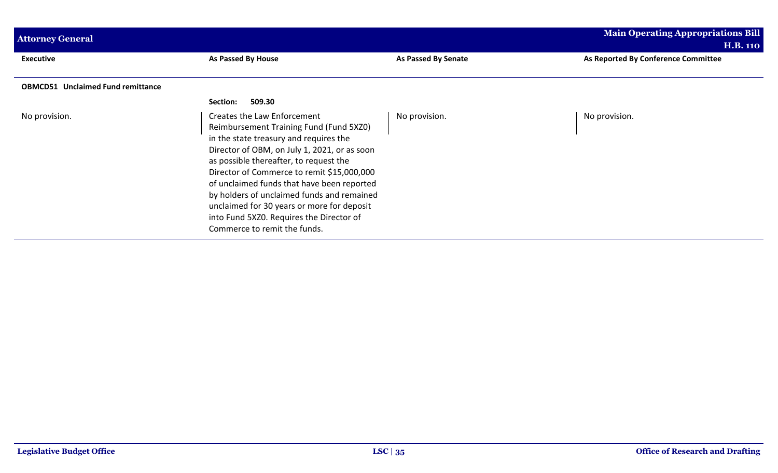| <b>Attorney General</b>                  |                                                                                                                                                                                                                                                                                                                                                                                                                                                                                |                     | <b>Main Operating Appropriations Bill</b> |
|------------------------------------------|--------------------------------------------------------------------------------------------------------------------------------------------------------------------------------------------------------------------------------------------------------------------------------------------------------------------------------------------------------------------------------------------------------------------------------------------------------------------------------|---------------------|-------------------------------------------|
|                                          |                                                                                                                                                                                                                                                                                                                                                                                                                                                                                |                     | <b>H.B. 110</b>                           |
| <b>Executive</b>                         | As Passed By House                                                                                                                                                                                                                                                                                                                                                                                                                                                             | As Passed By Senate | As Reported By Conference Committee       |
| <b>OBMCD51 Unclaimed Fund remittance</b> |                                                                                                                                                                                                                                                                                                                                                                                                                                                                                |                     |                                           |
|                                          | 509.30<br>Section:                                                                                                                                                                                                                                                                                                                                                                                                                                                             |                     |                                           |
| No provision.                            | Creates the Law Enforcement<br>Reimbursement Training Fund (Fund 5XZ0)<br>in the state treasury and requires the<br>Director of OBM, on July 1, 2021, or as soon<br>as possible thereafter, to request the<br>Director of Commerce to remit \$15,000,000<br>of unclaimed funds that have been reported<br>by holders of unclaimed funds and remained<br>unclaimed for 30 years or more for deposit<br>into Fund 5XZ0. Requires the Director of<br>Commerce to remit the funds. | No provision.       | No provision.                             |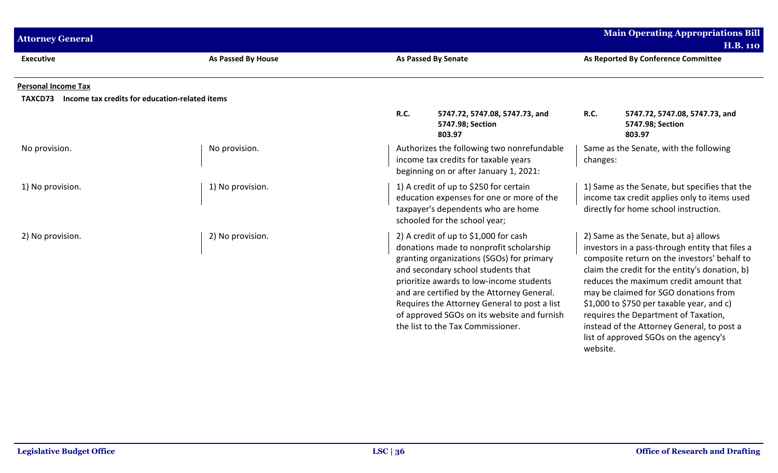|                                                           |                           |                                                                                                                                                                                                                                                                                                                                                                                                   | <b>Main Operating Appropriations Bill</b>                                                                                                                                                                                                                                                                                                                                                                                                                            |
|-----------------------------------------------------------|---------------------------|---------------------------------------------------------------------------------------------------------------------------------------------------------------------------------------------------------------------------------------------------------------------------------------------------------------------------------------------------------------------------------------------------|----------------------------------------------------------------------------------------------------------------------------------------------------------------------------------------------------------------------------------------------------------------------------------------------------------------------------------------------------------------------------------------------------------------------------------------------------------------------|
| <b>Attorney General</b>                                   |                           |                                                                                                                                                                                                                                                                                                                                                                                                   | <b>H.B. 110</b>                                                                                                                                                                                                                                                                                                                                                                                                                                                      |
| <b>Executive</b>                                          | <b>As Passed By House</b> | <b>As Passed By Senate</b>                                                                                                                                                                                                                                                                                                                                                                        | As Reported By Conference Committee                                                                                                                                                                                                                                                                                                                                                                                                                                  |
| <b>Personal Income Tax</b>                                |                           |                                                                                                                                                                                                                                                                                                                                                                                                   |                                                                                                                                                                                                                                                                                                                                                                                                                                                                      |
| Income tax credits for education-related items<br>TAXCD73 |                           |                                                                                                                                                                                                                                                                                                                                                                                                   |                                                                                                                                                                                                                                                                                                                                                                                                                                                                      |
|                                                           |                           | R.C.<br>5747.72, 5747.08, 5747.73, and<br>5747.98; Section<br>803.97                                                                                                                                                                                                                                                                                                                              | R.C.<br>5747.72, 5747.08, 5747.73, and<br>5747.98; Section<br>803.97                                                                                                                                                                                                                                                                                                                                                                                                 |
| No provision.                                             | No provision.             | Authorizes the following two nonrefundable<br>income tax credits for taxable years<br>beginning on or after January 1, 2021:                                                                                                                                                                                                                                                                      | Same as the Senate, with the following<br>changes:                                                                                                                                                                                                                                                                                                                                                                                                                   |
| 1) No provision.                                          | 1) No provision.          | 1) A credit of up to \$250 for certain<br>education expenses for one or more of the<br>taxpayer's dependents who are home<br>schooled for the school year;                                                                                                                                                                                                                                        | 1) Same as the Senate, but specifies that the<br>income tax credit applies only to items used<br>directly for home school instruction.                                                                                                                                                                                                                                                                                                                               |
| 2) No provision.                                          | 2) No provision.          | 2) A credit of up to \$1,000 for cash<br>donations made to nonprofit scholarship<br>granting organizations (SGOs) for primary<br>and secondary school students that<br>prioritize awards to low-income students<br>and are certified by the Attorney General.<br>Requires the Attorney General to post a list<br>of approved SGOs on its website and furnish<br>the list to the Tax Commissioner. | 2) Same as the Senate, but a) allows<br>investors in a pass-through entity that files a<br>composite return on the investors' behalf to<br>claim the credit for the entity's donation, b)<br>reduces the maximum credit amount that<br>may be claimed for SGO donations from<br>\$1,000 to \$750 per taxable year, and c)<br>requires the Department of Taxation,<br>instead of the Attorney General, to post a<br>list of approved SGOs on the agency's<br>website. |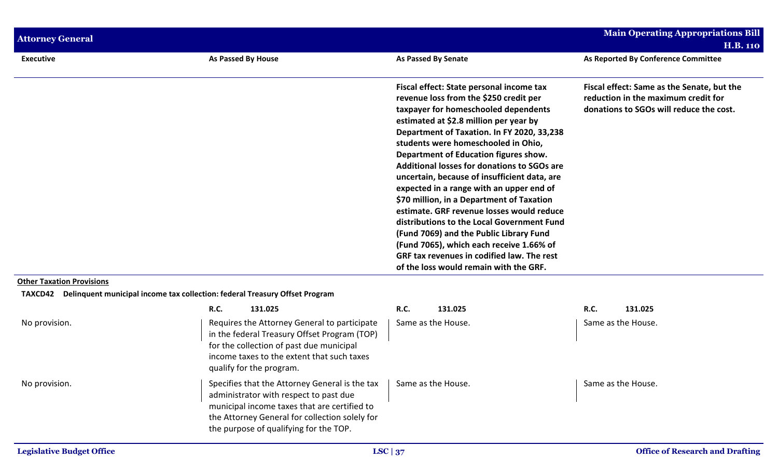| <b>Attorney General</b>                            |                                                                                                                                                                                                                                      |                                                                                                                                                                                                                                                                                                                                                                                                                                                                                                                                                                                                                                                                                                                                                                      | <b>Main Operating Appropriations Bill</b><br><b>H.B. 110</b>                                                                 |
|----------------------------------------------------|--------------------------------------------------------------------------------------------------------------------------------------------------------------------------------------------------------------------------------------|----------------------------------------------------------------------------------------------------------------------------------------------------------------------------------------------------------------------------------------------------------------------------------------------------------------------------------------------------------------------------------------------------------------------------------------------------------------------------------------------------------------------------------------------------------------------------------------------------------------------------------------------------------------------------------------------------------------------------------------------------------------------|------------------------------------------------------------------------------------------------------------------------------|
| <b>Executive</b>                                   | As Passed By House                                                                                                                                                                                                                   | <b>As Passed By Senate</b>                                                                                                                                                                                                                                                                                                                                                                                                                                                                                                                                                                                                                                                                                                                                           | As Reported By Conference Committee                                                                                          |
|                                                    |                                                                                                                                                                                                                                      | Fiscal effect: State personal income tax<br>revenue loss from the \$250 credit per<br>taxpayer for homeschooled dependents<br>estimated at \$2.8 million per year by<br>Department of Taxation. In FY 2020, 33,238<br>students were homeschooled in Ohio,<br>Department of Education figures show.<br>Additional losses for donations to SGOs are<br>uncertain, because of insufficient data, are<br>expected in a range with an upper end of<br>\$70 million, in a Department of Taxation<br>estimate. GRF revenue losses would reduce<br>distributions to the Local Government Fund<br>(Fund 7069) and the Public Library Fund<br>(Fund 7065), which each receive 1.66% of<br>GRF tax revenues in codified law. The rest<br>of the loss would remain with the GRF. | Fiscal effect: Same as the Senate, but the<br>reduction in the maximum credit for<br>donations to SGOs will reduce the cost. |
| <b>Other Taxation Provisions</b><br><b>TAXCD42</b> | Delinquent municipal income tax collection: federal Treasury Offset Program                                                                                                                                                          |                                                                                                                                                                                                                                                                                                                                                                                                                                                                                                                                                                                                                                                                                                                                                                      |                                                                                                                              |
|                                                    | <b>R.C.</b><br>131.025                                                                                                                                                                                                               | R.C.<br>131.025                                                                                                                                                                                                                                                                                                                                                                                                                                                                                                                                                                                                                                                                                                                                                      | R.C.<br>131.025                                                                                                              |
| No provision.                                      | Requires the Attorney General to participate<br>in the federal Treasury Offset Program (TOP)<br>for the collection of past due municipal<br>income taxes to the extent that such taxes<br>qualify for the program.                   | Same as the House.                                                                                                                                                                                                                                                                                                                                                                                                                                                                                                                                                                                                                                                                                                                                                   | Same as the House.                                                                                                           |
| No provision.                                      | Specifies that the Attorney General is the tax<br>administrator with respect to past due<br>municipal income taxes that are certified to<br>the Attorney General for collection solely for<br>the purpose of qualifying for the TOP. | Same as the House.                                                                                                                                                                                                                                                                                                                                                                                                                                                                                                                                                                                                                                                                                                                                                   | Same as the House.                                                                                                           |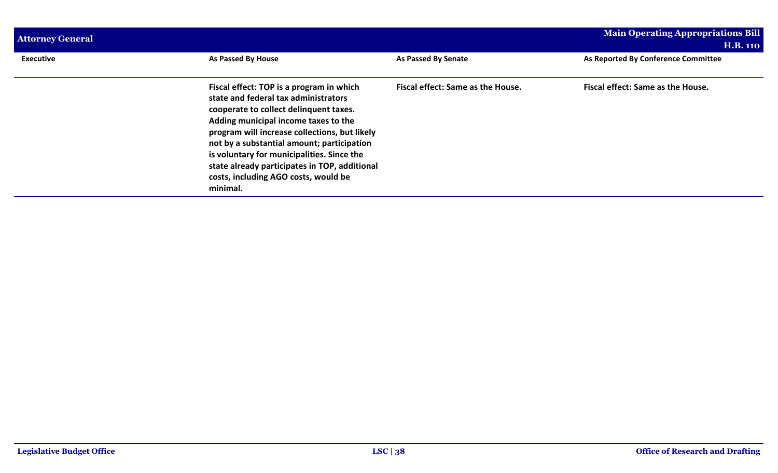| <b>Attorney General</b> |                                                                                                                                                                                                                                                                                                                                                                                                                      |                                   | <b>Main Operating Appropriations Bill</b> |  |
|-------------------------|----------------------------------------------------------------------------------------------------------------------------------------------------------------------------------------------------------------------------------------------------------------------------------------------------------------------------------------------------------------------------------------------------------------------|-----------------------------------|-------------------------------------------|--|
|                         |                                                                                                                                                                                                                                                                                                                                                                                                                      |                                   | <b>H.B. 110</b>                           |  |
| <b>Executive</b>        | As Passed By House                                                                                                                                                                                                                                                                                                                                                                                                   | As Passed By Senate               | As Reported By Conference Committee       |  |
|                         | Fiscal effect: TOP is a program in which<br>state and federal tax administrators<br>cooperate to collect delinquent taxes.<br>Adding municipal income taxes to the<br>program will increase collections, but likely<br>not by a substantial amount; participation<br>is voluntary for municipalities. Since the<br>state already participates in TOP, additional<br>costs, including AGO costs, would be<br>minimal. | Fiscal effect: Same as the House. | Fiscal effect: Same as the House.         |  |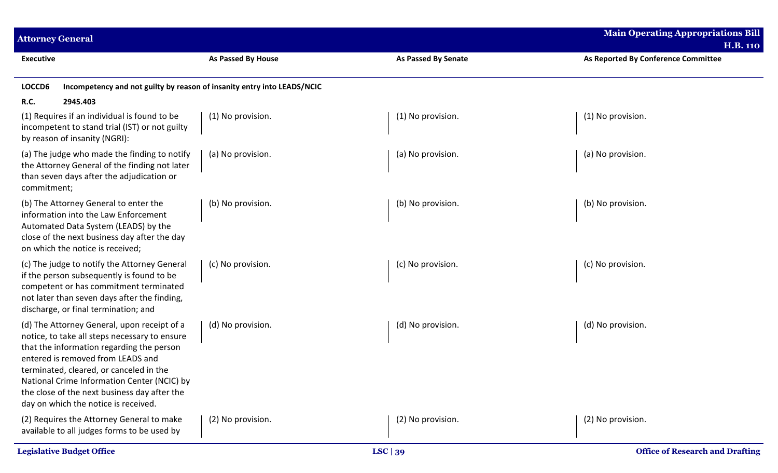| <b>Attorney General</b>                                                                                                                                                                                                                                                                                                                                          |                           |                            | <b>Main Operating Appropriations Bill</b><br><b>H.B. 110</b> |  |
|------------------------------------------------------------------------------------------------------------------------------------------------------------------------------------------------------------------------------------------------------------------------------------------------------------------------------------------------------------------|---------------------------|----------------------------|--------------------------------------------------------------|--|
| <b>Executive</b>                                                                                                                                                                                                                                                                                                                                                 | <b>As Passed By House</b> | <b>As Passed By Senate</b> | As Reported By Conference Committee                          |  |
| Incompetency and not guilty by reason of insanity entry into LEADS/NCIC<br>LOCCD6                                                                                                                                                                                                                                                                                |                           |                            |                                                              |  |
| <b>R.C.</b><br>2945.403                                                                                                                                                                                                                                                                                                                                          |                           |                            |                                                              |  |
| (1) Requires if an individual is found to be<br>incompetent to stand trial (IST) or not guilty<br>by reason of insanity (NGRI):                                                                                                                                                                                                                                  | (1) No provision.         | (1) No provision.          | (1) No provision.                                            |  |
| (a) The judge who made the finding to notify<br>the Attorney General of the finding not later<br>than seven days after the adjudication or<br>commitment;                                                                                                                                                                                                        | (a) No provision.         | (a) No provision.          | (a) No provision.                                            |  |
| (b) The Attorney General to enter the<br>information into the Law Enforcement<br>Automated Data System (LEADS) by the<br>close of the next business day after the day<br>on which the notice is received;                                                                                                                                                        | (b) No provision.         | (b) No provision.          | (b) No provision.                                            |  |
| (c) The judge to notify the Attorney General<br>if the person subsequently is found to be<br>competent or has commitment terminated<br>not later than seven days after the finding,<br>discharge, or final termination; and                                                                                                                                      | (c) No provision.         | (c) No provision.          | (c) No provision.                                            |  |
| (d) The Attorney General, upon receipt of a<br>notice, to take all steps necessary to ensure<br>that the information regarding the person<br>entered is removed from LEADS and<br>terminated, cleared, or canceled in the<br>National Crime Information Center (NCIC) by<br>the close of the next business day after the<br>day on which the notice is received. | (d) No provision.         | (d) No provision.          | (d) No provision.                                            |  |
| (2) Requires the Attorney General to make<br>available to all judges forms to be used by                                                                                                                                                                                                                                                                         | (2) No provision.         | (2) No provision.          | (2) No provision.                                            |  |
| <b>Legislative Budget Office</b>                                                                                                                                                                                                                                                                                                                                 |                           | LSC $ 39 $                 | <b>Office of Research and Drafting</b>                       |  |